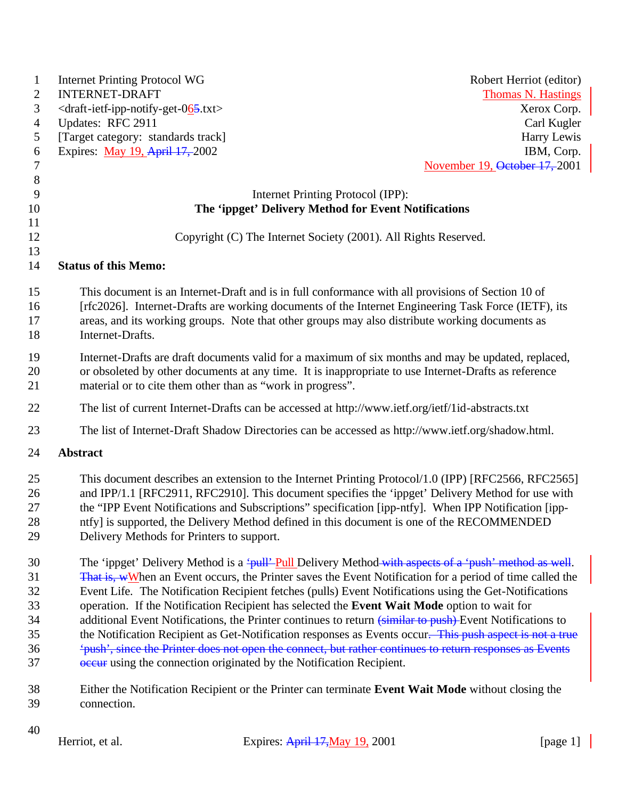| $\mathbf{1}$   | <b>Internet Printing Protocol WG</b>                                                              |                                                                                                          | Robert Herriot (editor)       |
|----------------|---------------------------------------------------------------------------------------------------|----------------------------------------------------------------------------------------------------------|-------------------------------|
| $\overline{2}$ | <b>INTERNET-DRAFT</b>                                                                             |                                                                                                          | <b>Thomas N. Hastings</b>     |
| 3              | <draft-ietf-ipp-notify-get-065.txt></draft-ietf-ipp-notify-get-065.txt>                           |                                                                                                          | Xerox Corp.                   |
| 4              | Updates: RFC 2911                                                                                 |                                                                                                          | Carl Kugler                   |
| 5              | [Target category: standards track]                                                                |                                                                                                          | Harry Lewis                   |
| 6              | Expires: May 19, April 17, 2002                                                                   |                                                                                                          | IBM, Corp.                    |
| 7              |                                                                                                   |                                                                                                          | November 19, October 17, 2001 |
| $\,8\,$        |                                                                                                   |                                                                                                          |                               |
| 9              |                                                                                                   | Internet Printing Protocol (IPP):                                                                        |                               |
| 10             |                                                                                                   | The 'ippget' Delivery Method for Event Notifications                                                     |                               |
| 11             |                                                                                                   |                                                                                                          |                               |
| 12             |                                                                                                   | Copyright (C) The Internet Society (2001). All Rights Reserved.                                          |                               |
| 13             |                                                                                                   |                                                                                                          |                               |
| 14             | <b>Status of this Memo:</b>                                                                       |                                                                                                          |                               |
| 15             |                                                                                                   | This document is an Internet-Draft and is in full conformance with all provisions of Section 10 of       |                               |
| 16             |                                                                                                   | [rfc2026]. Internet-Drafts are working documents of the Internet Engineering Task Force (IETF), its      |                               |
| 17             |                                                                                                   | areas, and its working groups. Note that other groups may also distribute working documents as           |                               |
| 18             | Internet-Drafts.                                                                                  |                                                                                                          |                               |
| 19             |                                                                                                   | Internet-Drafts are draft documents valid for a maximum of six months and may be updated, replaced,      |                               |
| 20             |                                                                                                   | or obsoleted by other documents at any time. It is inappropriate to use Internet-Drafts as reference     |                               |
| 21             |                                                                                                   | material or to cite them other than as "work in progress".                                               |                               |
|                |                                                                                                   |                                                                                                          |                               |
| 22             | The list of current Internet-Drafts can be accessed at http://www.ietf.org/ietf/1id-abstracts.txt |                                                                                                          |                               |
| 23             | The list of Internet-Draft Shadow Directories can be accessed as http://www.ietf.org/shadow.html. |                                                                                                          |                               |
| 24             | Abstract                                                                                          |                                                                                                          |                               |
| 25             |                                                                                                   | This document describes an extension to the Internet Printing Protocol/1.0 (IPP) [RFC2566, RFC2565]      |                               |
| 26             |                                                                                                   | and IPP/1.1 [RFC2911, RFC2910]. This document specifies the 'ippget' Delivery Method for use with        |                               |
| 27             |                                                                                                   | the "IPP Event Notifications and Subscriptions" specification [ipp-ntfy]. When IPP Notification [ipp-    |                               |
| 28             |                                                                                                   | ntfy] is supported, the Delivery Method defined in this document is one of the RECOMMENDED               |                               |
| 29             | Delivery Methods for Printers to support.                                                         |                                                                                                          |                               |
| 30             |                                                                                                   | The 'ippget' Delivery Method is a 'pull'-pull Delivery Method-with aspects of a 'push' method as well.   |                               |
| 31             |                                                                                                   | That is, wWhen an Event occurs, the Printer saves the Event Notification for a period of time called the |                               |
| 32             |                                                                                                   | Event Life. The Notification Recipient fetches (pulls) Event Notifications using the Get-Notifications   |                               |
| 33             |                                                                                                   | operation. If the Notification Recipient has selected the Event Wait Mode option to wait for             |                               |
| 34             |                                                                                                   | additional Event Notifications, the Printer continues to return (similar to push)-Event Notifications to |                               |
| 35             |                                                                                                   | the Notification Recipient as Get-Notification responses as Events occur. This push aspect is not a true |                               |
| 36             |                                                                                                   | 'push', since the Printer does not open the connect, but rather continues to return responses as Events  |                               |
| 37             |                                                                                                   | <b>ecaure</b> using the connection originated by the Notification Recipient.                             |                               |
| 38             |                                                                                                   | Either the Notification Recipient or the Printer can terminate Event Wait Mode without closing the       |                               |
| 39             | connection.                                                                                       |                                                                                                          |                               |
| 40             |                                                                                                   |                                                                                                          |                               |
|                | Herriot, et al.                                                                                   | Expires: April 17, May 19, 2001                                                                          | [page 1]                      |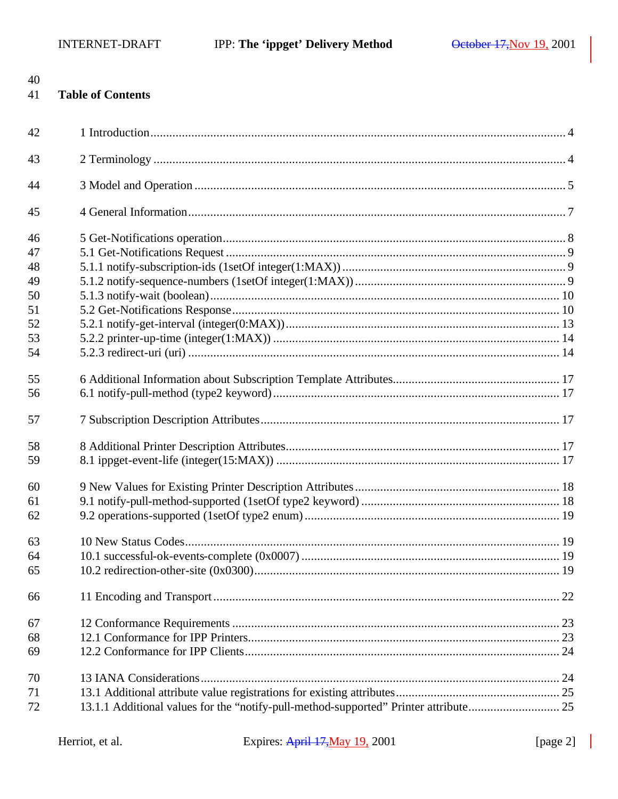| 40<br>41 | <b>Table of Contents</b>                                                             |  |
|----------|--------------------------------------------------------------------------------------|--|
| 42       |                                                                                      |  |
| 43       |                                                                                      |  |
| 44       |                                                                                      |  |
| 45       |                                                                                      |  |
| 46       |                                                                                      |  |
| 47       |                                                                                      |  |
| 48       |                                                                                      |  |
| 49       |                                                                                      |  |
| 50       |                                                                                      |  |
| 51       |                                                                                      |  |
| 52       |                                                                                      |  |
| 53       |                                                                                      |  |
| 54       |                                                                                      |  |
| 55       |                                                                                      |  |
| 56       |                                                                                      |  |
| 57       |                                                                                      |  |
| 58       |                                                                                      |  |
| 59       |                                                                                      |  |
| 60       |                                                                                      |  |
| 61       |                                                                                      |  |
| 62       |                                                                                      |  |
| 63       |                                                                                      |  |
| 64       |                                                                                      |  |
| 65       |                                                                                      |  |
| 66       |                                                                                      |  |
| 67       |                                                                                      |  |
| 68       |                                                                                      |  |
| 69       |                                                                                      |  |
| 70       |                                                                                      |  |
| 71       |                                                                                      |  |
| 72       | 13.1.1 Additional values for the "notify-pull-method-supported" Printer attribute 25 |  |

 $\overline{\phantom{a}}$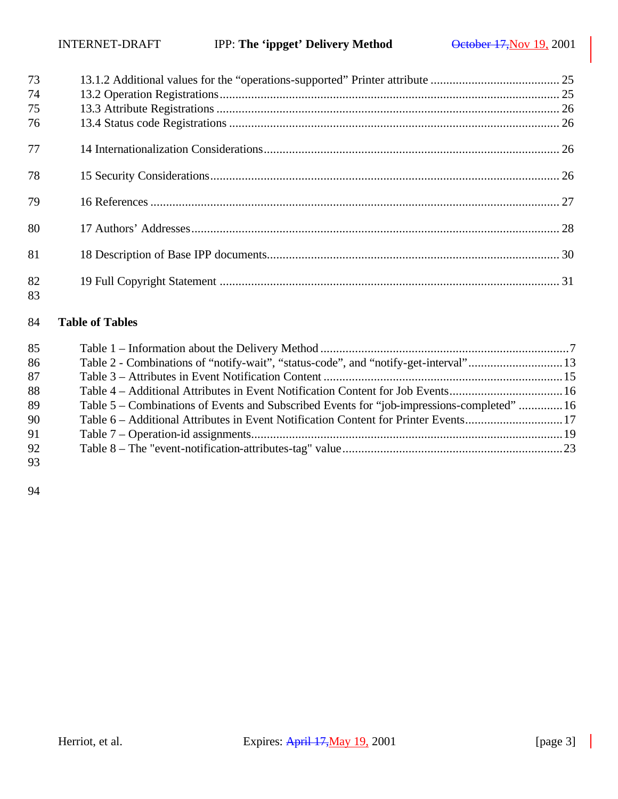| 73       |  |
|----------|--|
| 74       |  |
| 75       |  |
| 76       |  |
| 77       |  |
| 78       |  |
| 79       |  |
| 80       |  |
| 81       |  |
| 82<br>83 |  |

## **Table of Tables**

| 85 |                                                                                            |  |
|----|--------------------------------------------------------------------------------------------|--|
| 86 | Table 2 - Combinations of "notify-wait", "status-code", and "notify-get-interval"13        |  |
| 87 |                                                                                            |  |
| 88 | Table 4 – Additional Attributes in Event Notification Content for Job Events16             |  |
| 89 | Table 5 – Combinations of Events and Subscribed Events for "job-impressions-completed"  16 |  |
| 90 | Table 6 – Additional Attributes in Event Notification Content for Printer Events17         |  |
| 91 |                                                                                            |  |
| 92 |                                                                                            |  |
| 93 |                                                                                            |  |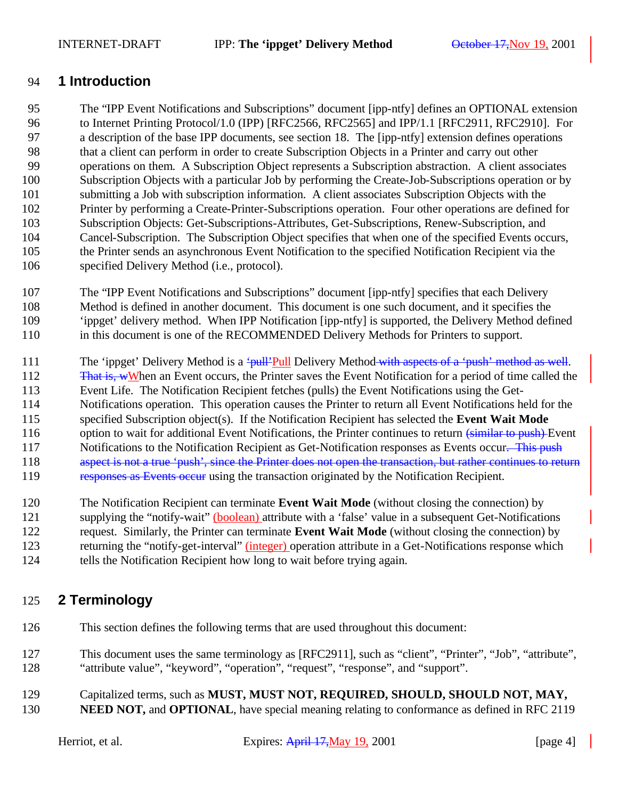## **1 Introduction**

 The "IPP Event Notifications and Subscriptions" document [ipp-ntfy] defines an OPTIONAL extension to Internet Printing Protocol/1.0 (IPP) [RFC2566, RFC2565] and IPP/1.1 [RFC2911, RFC2910]. For a description of the base IPP documents, see section 18. The [ipp-ntfy] extension defines operations that a client can perform in order to create Subscription Objects in a Printer and carry out other operations on them. A Subscription Object represents a Subscription abstraction. A client associates Subscription Objects with a particular Job by performing the Create-Job-Subscriptions operation or by submitting a Job with subscription information. A client associates Subscription Objects with the Printer by performing a Create-Printer-Subscriptions operation. Four other operations are defined for Subscription Objects: Get-Subscriptions-Attributes, Get-Subscriptions, Renew-Subscription, and Cancel-Subscription. The Subscription Object specifies that when one of the specified Events occurs, the Printer sends an asynchronous Event Notification to the specified Notification Recipient via the specified Delivery Method (i.e., protocol).

 The "IPP Event Notifications and Subscriptions" document [ipp-ntfy] specifies that each Delivery Method is defined in another document. This document is one such document, and it specifies the 'ippget' delivery method. When IPP Notification [ipp-ntfy] is supported, the Delivery Method defined in this document is one of the RECOMMENDED Delivery Methods for Printers to support.

111 The 'ippget' Delivery Method is a 'pull'Pull Delivery Method with aspects of a 'push' method as well.

112 That is, wWhen an Event occurs, the Printer saves the Event Notification for a period of time called the Event Life. The Notification Recipient fetches (pulls) the Event Notifications using the Get- Notifications operation. This operation causes the Printer to return all Event Notifications held for the specified Subscription object(s). If the Notification Recipient has selected the **Event Wait Mode** 116 option to wait for additional Event Notifications, the Printer continues to return (similar to push) Event 117 Notifications to the Notification Recipient as Get-Notification responses as Events occur. This push 118 aspect is not a true 'push', since the Printer does not open the transaction, but rather continues to return 119 responses as Events occur using the transaction originated by the Notification Recipient.

The Notification Recipient can terminate **Event Wait Mode** (without closing the connection) by

supplying the "notify-wait" (boolean) attribute with a 'false' value in a subsequent Get-Notifications

request. Similarly, the Printer can terminate **Event Wait Mode** (without closing the connection) by

returning the "notify-get-interval" (integer) operation attribute in a Get-Notifications response which

124 tells the Notification Recipient how long to wait before trying again.

## **2 Terminology**

- This section defines the following terms that are used throughout this document:
- This document uses the same terminology as [RFC2911], such as "client", "Printer", "Job", "attribute", "attribute value", "keyword", "operation", "request", "response", and "support".
- Capitalized terms, such as **MUST, MUST NOT, REQUIRED, SHOULD, SHOULD NOT, MAY,**
- **NEED NOT, and OPTIONAL**, have special meaning relating to conformance as defined in RFC 2119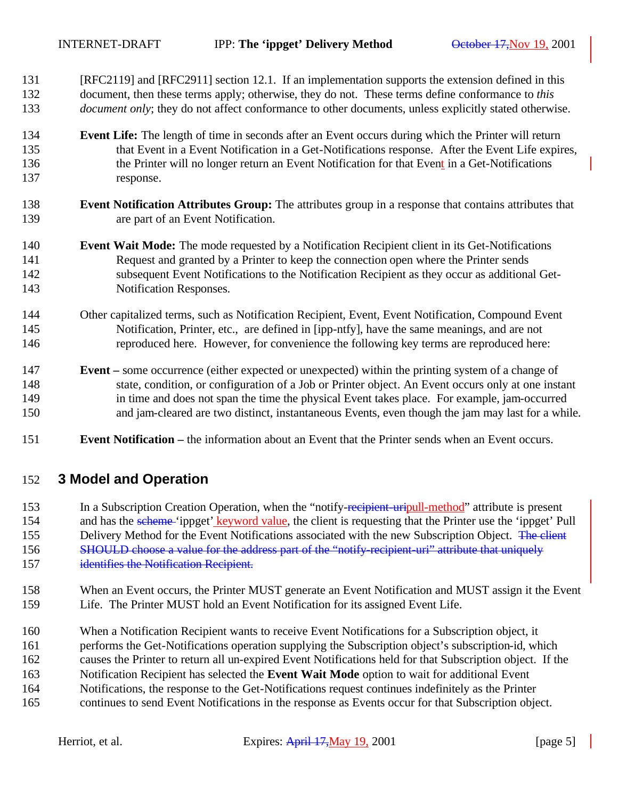- [RFC2119] and [RFC2911] section 12.1. If an implementation supports the extension defined in this document, then these terms apply; otherwise, they do not. These terms define conformance to *this document only*; they do not affect conformance to other documents, unless explicitly stated otherwise.
- **Event Life:** The length of time in seconds after an Event occurs during which the Printer will return that Event in a Event Notification in a Get-Notifications response. After the Event Life expires, the Printer will no longer return an Event Notification for that Event in a Get-Notifications response.
- **Event Notification Attributes Group:** The attributes group in a response that contains attributes that are part of an Event Notification.
- **Event Wait Mode:** The mode requested by a Notification Recipient client in its Get-Notifications Request and granted by a Printer to keep the connection open where the Printer sends subsequent Event Notifications to the Notification Recipient as they occur as additional Get-Notification Responses.
- Other capitalized terms, such as Notification Recipient, Event, Event Notification, Compound Event Notification, Printer, etc., are defined in [ipp-ntfy], have the same meanings, and are not reproduced here. However, for convenience the following key terms are reproduced here:
- **Event –** some occurrence (either expected or unexpected) within the printing system of a change of state, condition, or configuration of a Job or Printer object. An Event occurs only at one instant in time and does not span the time the physical Event takes place. For example, jam-occurred and jam-cleared are two distinct, instantaneous Events, even though the jam may last for a while.
- **Event Notification –** the information about an Event that the Printer sends when an Event occurs.

## **3 Model and Operation**

153 In a Subscription Creation Operation, when the "notify-recipient-uripull-method" attribute is present 154 and has the scheme 'ippget' keyword value, the client is requesting that the Printer use the 'ippget' Pull 155 Delivery Method for the Event Notifications associated with the new Subscription Object. The client 156 SHOULD choose a value for the address part of the "notify-recipient-uri" attribute that uniquely 157 identifies the Notification Recipient.

- When an Event occurs, the Printer MUST generate an Event Notification and MUST assign it the Event Life. The Printer MUST hold an Event Notification for its assigned Event Life.
- When a Notification Recipient wants to receive Event Notifications for a Subscription object, it
- performs the Get-Notifications operation supplying the Subscription object's subscription-id, which
- causes the Printer to return all un-expired Event Notifications held for that Subscription object. If the
- Notification Recipient has selected the **Event Wait Mode** option to wait for additional Event
- Notifications, the response to the Get-Notifications request continues indefinitely as the Printer
- continues to send Event Notifications in the response as Events occur for that Subscription object.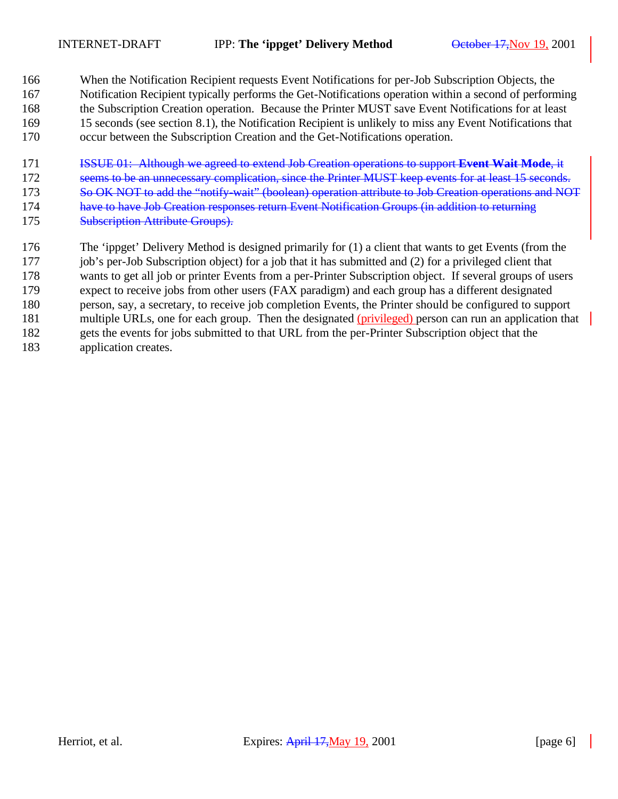When the Notification Recipient requests Event Notifications for per-Job Subscription Objects, the Notification Recipient typically performs the Get-Notifications operation within a second of performing the Subscription Creation operation. Because the Printer MUST save Event Notifications for at least 15 seconds (see section 8.1), the Notification Recipient is unlikely to miss any Event Notifications that occur between the Subscription Creation and the Get-Notifications operation.

- ISSUE 01: Although we agreed to extend Job Creation operations to support **Event Wait Mode**, it
- 172 seems to be an unnecessary complication, since the Printer MUST keep events for at least 15 seconds.
- 173 So OK NOT to add the "notify-wait" (boolean) operation attribute to Job Creation operations and NOT
- have to have Job Creation responses return Event Notification Groups (in addition to returning
- **Subscription Attribute Groups).**
- The 'ippget' Delivery Method is designed primarily for (1) a client that wants to get Events (from the
- job's per-Job Subscription object) for a job that it has submitted and (2) for a privileged client that
- wants to get all job or printer Events from a per-Printer Subscription object. If several groups of users
- expect to receive jobs from other users (FAX paradigm) and each group has a different designated
- person, say, a secretary, to receive job completion Events, the Printer should be configured to support
- 181 multiple URLs, one for each group. Then the designated (privileged) person can run an application that
- gets the events for jobs submitted to that URL from the per-Printer Subscription object that the
- application creates.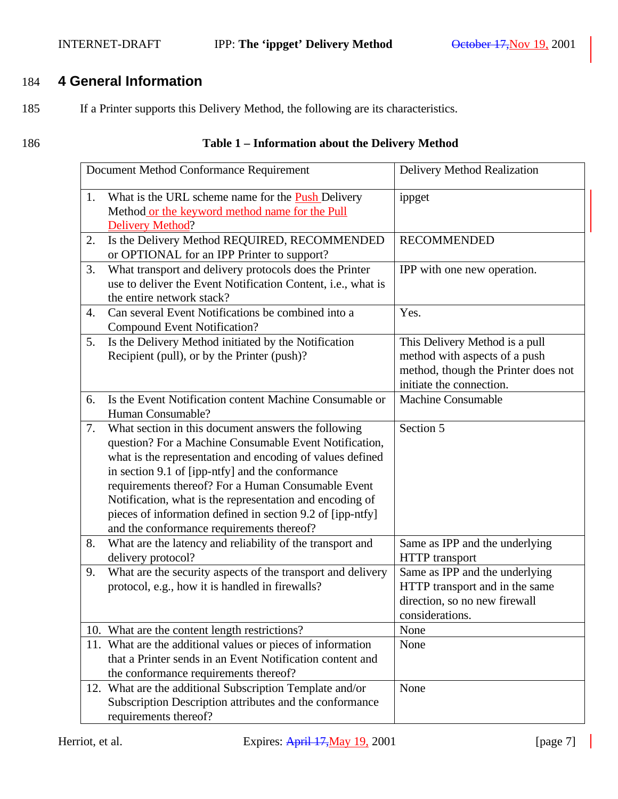# 184 **4 General Information**

185 If a Printer supports this Delivery Method, the following are its characteristics.

## 186 **Table 1 – Information about the Delivery Method**

|                                                                                                                                             | Document Method Conformance Requirement                                                                                                                                                                                                                                                                                                                                                                                                                     | Delivery Method Realization                                                                                                        |
|---------------------------------------------------------------------------------------------------------------------------------------------|-------------------------------------------------------------------------------------------------------------------------------------------------------------------------------------------------------------------------------------------------------------------------------------------------------------------------------------------------------------------------------------------------------------------------------------------------------------|------------------------------------------------------------------------------------------------------------------------------------|
| What is the URL scheme name for the <b>Push</b> Delivery<br>1.<br>Method or the keyword method name for the Pull<br><b>Delivery Method?</b> |                                                                                                                                                                                                                                                                                                                                                                                                                                                             | ippget                                                                                                                             |
| 2.                                                                                                                                          | Is the Delivery Method REQUIRED, RECOMMENDED<br>or OPTIONAL for an IPP Printer to support?                                                                                                                                                                                                                                                                                                                                                                  | <b>RECOMMENDED</b>                                                                                                                 |
| 3.                                                                                                                                          | What transport and delivery protocols does the Printer<br>use to deliver the Event Notification Content, i.e., what is<br>the entire network stack?                                                                                                                                                                                                                                                                                                         | IPP with one new operation.                                                                                                        |
| $\overline{4}$ .                                                                                                                            | Can several Event Notifications be combined into a<br><b>Compound Event Notification?</b>                                                                                                                                                                                                                                                                                                                                                                   | Yes.                                                                                                                               |
| 5.                                                                                                                                          | Is the Delivery Method initiated by the Notification<br>Recipient (pull), or by the Printer (push)?                                                                                                                                                                                                                                                                                                                                                         | This Delivery Method is a pull<br>method with aspects of a push<br>method, though the Printer does not<br>initiate the connection. |
| 6.                                                                                                                                          | Is the Event Notification content Machine Consumable or<br>Human Consumable?                                                                                                                                                                                                                                                                                                                                                                                | Machine Consumable                                                                                                                 |
| 7.                                                                                                                                          | What section in this document answers the following<br>question? For a Machine Consumable Event Notification,<br>what is the representation and encoding of values defined<br>in section 9.1 of [ipp-ntfy] and the conformance<br>requirements thereof? For a Human Consumable Event<br>Notification, what is the representation and encoding of<br>pieces of information defined in section 9.2 of [ipp-ntfy]<br>and the conformance requirements thereof? | Section 5                                                                                                                          |
| 8.                                                                                                                                          | What are the latency and reliability of the transport and<br>delivery protocol?                                                                                                                                                                                                                                                                                                                                                                             | Same as IPP and the underlying<br>HTTP transport                                                                                   |
| 9.                                                                                                                                          | What are the security aspects of the transport and delivery<br>protocol, e.g., how it is handled in firewalls?                                                                                                                                                                                                                                                                                                                                              | Same as IPP and the underlying<br>HTTP transport and in the same<br>direction, so no new firewall<br>considerations.               |
|                                                                                                                                             | 10. What are the content length restrictions?                                                                                                                                                                                                                                                                                                                                                                                                               | None                                                                                                                               |
|                                                                                                                                             | 11. What are the additional values or pieces of information<br>that a Printer sends in an Event Notification content and<br>the conformance requirements thereof?                                                                                                                                                                                                                                                                                           | None                                                                                                                               |
|                                                                                                                                             | 12. What are the additional Subscription Template and/or<br>Subscription Description attributes and the conformance<br>requirements thereof?                                                                                                                                                                                                                                                                                                                | None                                                                                                                               |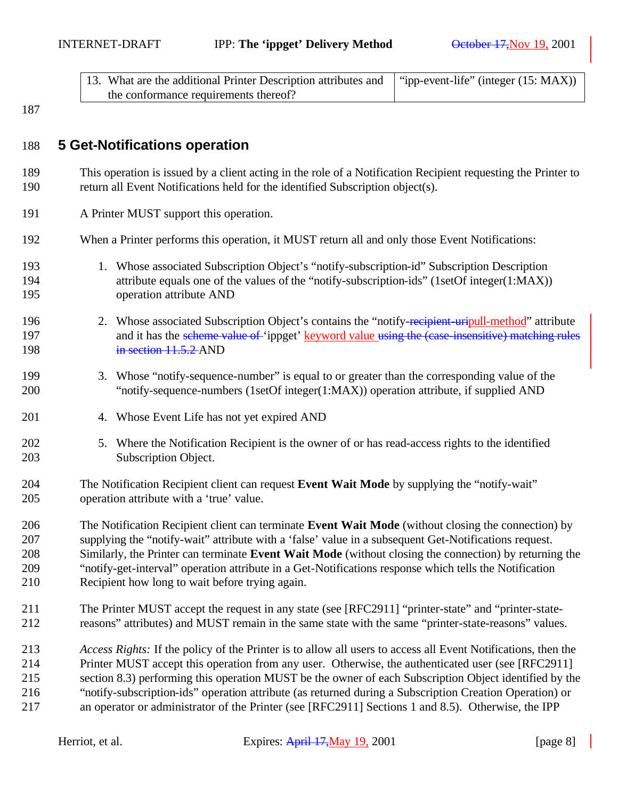| 13. What are the additional Printer Description attributes and   "ipp-event-life" (integer (15: MAX)) |  |
|-------------------------------------------------------------------------------------------------------|--|
| the conformance requirements thereof?                                                                 |  |

## **5 Get-Notifications operation**

- This operation is issued by a client acting in the role of a Notification Recipient requesting the Printer to return all Event Notifications held for the identified Subscription object(s).
- A Printer MUST support this operation.
- When a Printer performs this operation, it MUST return all and only those Event Notifications:
- 1. Whose associated Subscription Object's "notify-subscription-id" Subscription Description attribute equals one of the values of the "notify-subscription-ids" (1setOf integer(1:MAX)) operation attribute AND
- 196 2. Whose associated Subscription Object's contains the "notify-recipient-uripull-method" attribute 197 and it has the scheme value of 'ippget' keyword value using the (case insensitive) matching rules 198 in section 11.5.2 AND
- 3. Whose "notify-sequence-number" is equal to or greater than the corresponding value of the "notify-sequence-numbers (1setOf integer(1:MAX)) operation attribute, if supplied AND
- 4. Whose Event Life has not yet expired AND
- 5. Where the Notification Recipient is the owner of or has read-access rights to the identified Subscription Object.
- The Notification Recipient client can request **Event Wait Mode** by supplying the "notify-wait" operation attribute with a 'true' value.
- The Notification Recipient client can terminate **Event Wait Mode** (without closing the connection) by supplying the "notify-wait" attribute with a 'false' value in a subsequent Get-Notifications request. Similarly, the Printer can terminate **Event Wait Mode** (without closing the connection) by returning the "notify-get-interval" operation attribute in a Get-Notifications response which tells the Notification Recipient how long to wait before trying again.
- The Printer MUST accept the request in any state (see [RFC2911] "printer-state" and "printer-state-reasons" attributes) and MUST remain in the same state with the same "printer-state-reasons" values.
- *Access Rights:* If the policy of the Printer is to allow all users to access all Event Notifications, then the Printer MUST accept this operation from any user. Otherwise, the authenticated user (see [RFC2911] section 8.3) performing this operation MUST be the owner of each Subscription Object identified by the "notify-subscription-ids" operation attribute (as returned during a Subscription Creation Operation) or an operator or administrator of the Printer (see [RFC2911] Sections 1 and 8.5). Otherwise, the IPP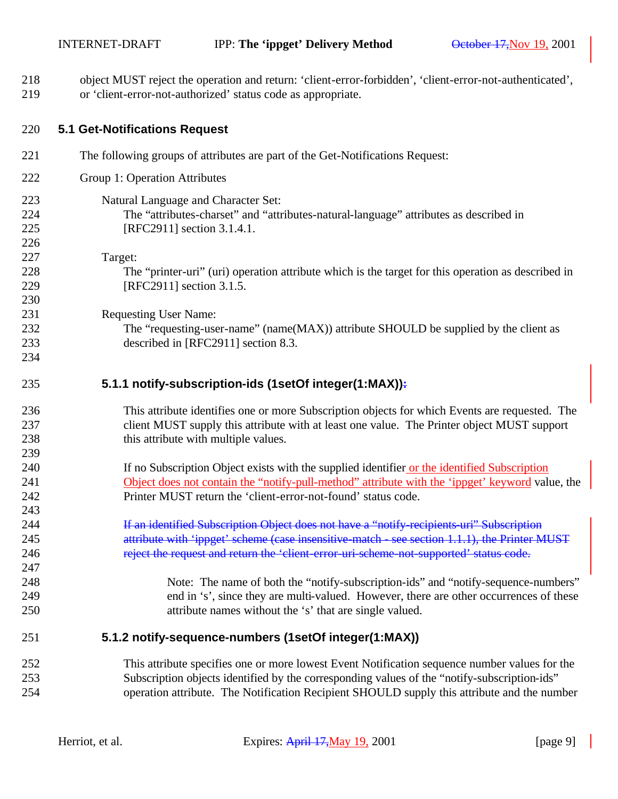| 218<br>219 | object MUST reject the operation and return: 'client-error-forbidden', 'client-error-not-authenticated',<br>or 'client-error-not-authorized' status code as appropriate. |
|------------|--------------------------------------------------------------------------------------------------------------------------------------------------------------------------|
| 220        | <b>5.1 Get-Notifications Request</b>                                                                                                                                     |
| 221        | The following groups of attributes are part of the Get-Notifications Request:                                                                                            |
| 222        | Group 1: Operation Attributes                                                                                                                                            |
| 223        | Natural Language and Character Set:                                                                                                                                      |
| 224        | The "attributes-charset" and "attributes-natural-language" attributes as described in                                                                                    |
| 225        | [RFC2911] section 3.1.4.1.                                                                                                                                               |
| 226        |                                                                                                                                                                          |
| 227        | Target:                                                                                                                                                                  |
| 228        | The "printer-uri" (uri) operation attribute which is the target for this operation as described in                                                                       |
| 229        | [RFC2911] section 3.1.5.                                                                                                                                                 |
| 230        |                                                                                                                                                                          |
| 231        | <b>Requesting User Name:</b>                                                                                                                                             |
| 232        | The "requesting-user-name" (name(MAX)) attribute SHOULD be supplied by the client as                                                                                     |
| 233        | described in [RFC2911] section 8.3.                                                                                                                                      |
| 234        |                                                                                                                                                                          |
| 235        | 5.1.1 notify-subscription-ids (1setOf integer(1:MAX)):                                                                                                                   |
| 236        | This attribute identifies one or more Subscription objects for which Events are requested. The                                                                           |
| 237        | client MUST supply this attribute with at least one value. The Printer object MUST support                                                                               |
| 238        | this attribute with multiple values.                                                                                                                                     |
| 239        |                                                                                                                                                                          |
| 240        | If no Subscription Object exists with the supplied identifier or the identified Subscription                                                                             |
| 241        | Object does not contain the "notify-pull-method" attribute with the 'ippget' keyword value, the                                                                          |
| 242        | Printer MUST return the 'client-error-not-found' status code.                                                                                                            |
| 243        |                                                                                                                                                                          |
| 244        | If an identified Subscription Object does not have a "notify-recipients-uri" Subscription                                                                                |
| 245        | attribute with 'ippget' scheme (case insensitive-match - see section 1.1.1), the Printer MUST                                                                            |
| 246        | reject the request and return the 'client error uri scheme not supported' status code.                                                                                   |
| 247        |                                                                                                                                                                          |
| 248        | Note: The name of both the "notify-subscription-ids" and "notify-sequence-numbers"                                                                                       |
| 249        | end in 's', since they are multi-valued. However, there are other occurrences of these                                                                                   |
| 250        | attribute names without the 's' that are single valued.                                                                                                                  |
| 251        | 5.1.2 notify-sequence-numbers (1setOf integer(1:MAX))                                                                                                                    |
| 252        | This attribute specifies one or more lowest Event Notification sequence number values for the                                                                            |
| 253        | Subscription objects identified by the corresponding values of the "notify-subscription-ids"                                                                             |
| 254        | operation attribute. The Notification Recipient SHOULD supply this attribute and the number                                                                              |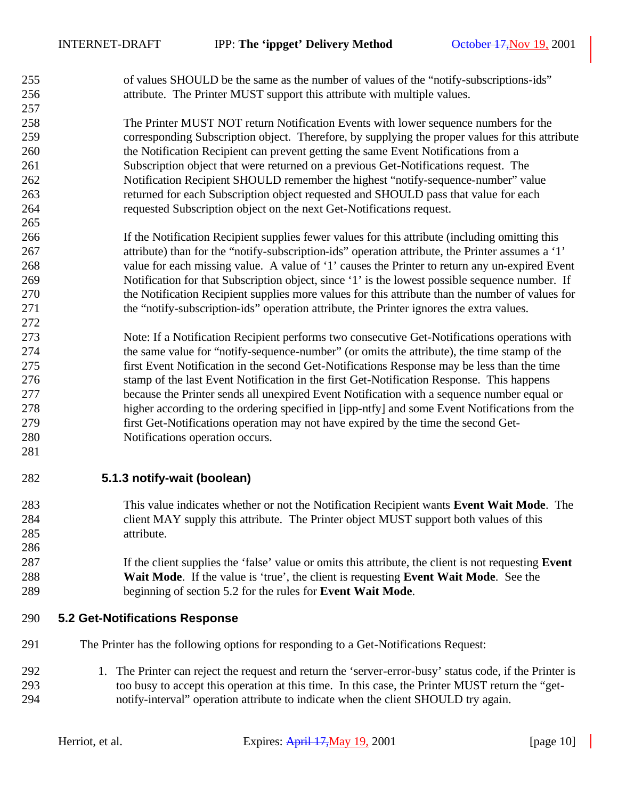of values SHOULD be the same as the number of values of the "notify-subscriptions-ids" attribute. The Printer MUST support this attribute with multiple values.

 The Printer MUST NOT return Notification Events with lower sequence numbers for the corresponding Subscription object. Therefore, by supplying the proper values for this attribute the Notification Recipient can prevent getting the same Event Notifications from a Subscription object that were returned on a previous Get-Notifications request. The Notification Recipient SHOULD remember the highest "notify-sequence-number" value returned for each Subscription object requested and SHOULD pass that value for each requested Subscription object on the next Get-Notifications request.

- If the Notification Recipient supplies fewer values for this attribute (including omitting this attribute) than for the "notify-subscription-ids" operation attribute, the Printer assumes a '1' value for each missing value. A value of '1' causes the Printer to return any un-expired Event Notification for that Subscription object, since '1' is the lowest possible sequence number. If the Notification Recipient supplies more values for this attribute than the number of values for the "notify-subscription-ids" operation attribute, the Printer ignores the extra values.
- Note: If a Notification Recipient performs two consecutive Get-Notifications operations with the same value for "notify-sequence-number" (or omits the attribute), the time stamp of the first Event Notification in the second Get-Notifications Response may be less than the time stamp of the last Event Notification in the first Get-Notification Response. This happens because the Printer sends all unexpired Event Notification with a sequence number equal or higher according to the ordering specified in [ipp-ntfy] and some Event Notifications from the first Get-Notifications operation may not have expired by the time the second Get-Notifications operation occurs.
- 

## **5.1.3 notify-wait (boolean)**

 This value indicates whether or not the Notification Recipient wants **Event Wait Mode**. The client MAY supply this attribute. The Printer object MUST support both values of this attribute.

## If the client supplies the 'false' value or omits this attribute, the client is not requesting **Event Wait Mode**. If the value is 'true', the client is requesting **Event Wait Mode**. See the beginning of section 5.2 for the rules for **Event Wait Mode**.

#### **5.2 Get-Notifications Response**

- The Printer has the following options for responding to a Get-Notifications Request:
- 1. The Printer can reject the request and return the 'server-error-busy' status code, if the Printer is too busy to accept this operation at this time. In this case, the Printer MUST return the "get-notify-interval" operation attribute to indicate when the client SHOULD try again.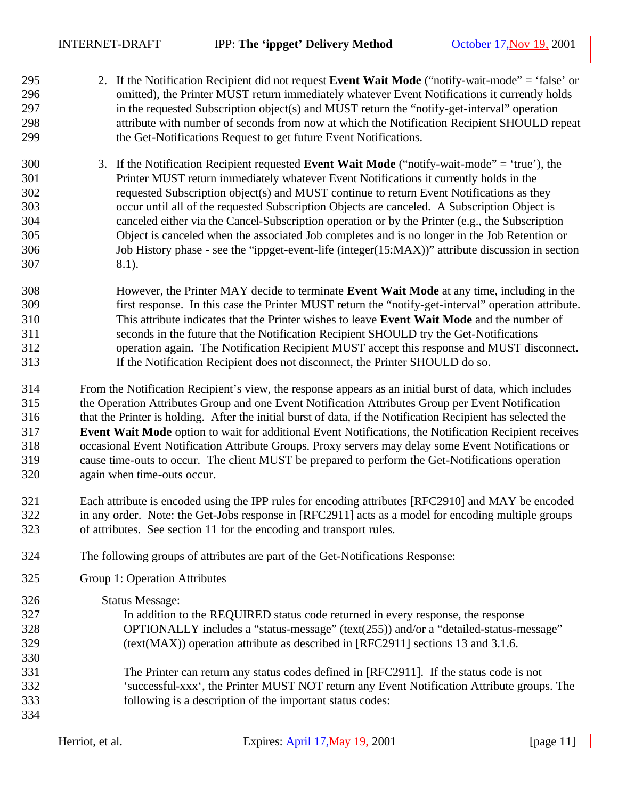- 2. If the Notification Recipient did not request **Event Wait Mode** ("notify-wait-mode" = 'false' or omitted), the Printer MUST return immediately whatever Event Notifications it currently holds in the requested Subscription object(s) and MUST return the "notify-get-interval" operation attribute with number of seconds from now at which the Notification Recipient SHOULD repeat the Get-Notifications Request to get future Event Notifications.
- 3. If the Notification Recipient requested **Event Wait Mode** ("notify-wait-mode" = 'true'), the Printer MUST return immediately whatever Event Notifications it currently holds in the requested Subscription object(s) and MUST continue to return Event Notifications as they occur until all of the requested Subscription Objects are canceled. A Subscription Object is canceled either via the Cancel-Subscription operation or by the Printer (e.g., the Subscription Object is canceled when the associated Job completes and is no longer in the Job Retention or Job History phase - see the "ippget-event-life (integer(15:MAX))" attribute discussion in section 8.1).
- However, the Printer MAY decide to terminate **Event Wait Mode** at any time, including in the first response. In this case the Printer MUST return the "notify-get-interval" operation attribute. This attribute indicates that the Printer wishes to leave **Event Wait Mode** and the number of seconds in the future that the Notification Recipient SHOULD try the Get-Notifications operation again. The Notification Recipient MUST accept this response and MUST disconnect. If the Notification Recipient does not disconnect, the Printer SHOULD do so.

 From the Notification Recipient's view, the response appears as an initial burst of data, which includes the Operation Attributes Group and one Event Notification Attributes Group per Event Notification that the Printer is holding. After the initial burst of data, if the Notification Recipient has selected the **Event Wait Mode** option to wait for additional Event Notifications, the Notification Recipient receives occasional Event Notification Attribute Groups. Proxy servers may delay some Event Notifications or cause time-outs to occur. The client MUST be prepared to perform the Get-Notifications operation again when time-outs occur.

- Each attribute is encoded using the IPP rules for encoding attributes [RFC2910] and MAY be encoded in any order. Note: the Get-Jobs response in [RFC2911] acts as a model for encoding multiple groups of attributes. See section 11 for the encoding and transport rules.
- The following groups of attributes are part of the Get-Notifications Response:
- Group 1: Operation Attributes
- Status Message: In addition to the REQUIRED status code returned in every response, the response OPTIONALLY includes a "status-message" (text(255)) and/or a "detailed-status-message" (text(MAX)) operation attribute as described in [RFC2911] sections 13 and 3.1.6. The Printer can return any status codes defined in [RFC2911]. If the status code is not 'successful-xxx', the Printer MUST NOT return any Event Notification Attribute groups. The following is a description of the important status codes: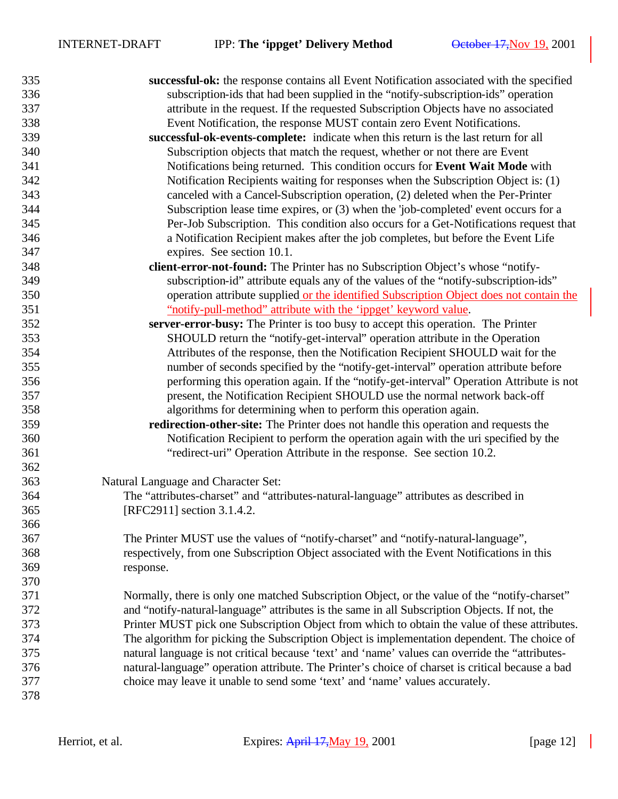| 335 | successful-ok: the response contains all Event Notification associated with the specified        |
|-----|--------------------------------------------------------------------------------------------------|
| 336 | subscription-ids that had been supplied in the "notify-subscription-ids" operation               |
| 337 | attribute in the request. If the requested Subscription Objects have no associated               |
| 338 | Event Notification, the response MUST contain zero Event Notifications.                          |
| 339 | successful-ok-events-complete: indicate when this return is the last return for all              |
| 340 | Subscription objects that match the request, whether or not there are Event                      |
| 341 | Notifications being returned. This condition occurs for Event Wait Mode with                     |
| 342 | Notification Recipients waiting for responses when the Subscription Object is: (1)               |
| 343 | canceled with a Cancel-Subscription operation, (2) deleted when the Per-Printer                  |
| 344 | Subscription lease time expires, or (3) when the 'job-completed' event occurs for a              |
| 345 | Per-Job Subscription. This condition also occurs for a Get-Notifications request that            |
| 346 | a Notification Recipient makes after the job completes, but before the Event Life                |
| 347 | expires. See section 10.1.                                                                       |
| 348 | client-error-not-found: The Printer has no Subscription Object's whose "notify-                  |
| 349 | subscription-id" attribute equals any of the values of the "notify-subscription-ids"             |
| 350 | operation attribute supplied or the identified Subscription Object does not contain the          |
| 351 | "notify-pull-method" attribute with the 'ippget' keyword value.                                  |
| 352 | server-error-busy: The Printer is too busy to accept this operation. The Printer                 |
| 353 | SHOULD return the "notify-get-interval" operation attribute in the Operation                     |
| 354 | Attributes of the response, then the Notification Recipient SHOULD wait for the                  |
| 355 | number of seconds specified by the "notify-get-interval" operation attribute before              |
| 356 | performing this operation again. If the "notify-get-interval" Operation Attribute is not         |
| 357 | present, the Notification Recipient SHOULD use the normal network back-off                       |
| 358 | algorithms for determining when to perform this operation again.                                 |
| 359 | redirection-other-site: The Printer does not handle this operation and requests the              |
| 360 | Notification Recipient to perform the operation again with the uri specified by the              |
| 361 | "redirect-uri" Operation Attribute in the response. See section 10.2.                            |
| 362 |                                                                                                  |
| 363 | Natural Language and Character Set:                                                              |
| 364 | The "attributes-charset" and "attributes-natural-language" attributes as described in            |
| 365 | [RFC2911] section 3.1.4.2.                                                                       |
| 366 |                                                                                                  |
| 367 | The Printer MUST use the values of "notify-charset" and "notify-natural-language",               |
| 368 | respectively, from one Subscription Object associated with the Event Notifications in this       |
| 369 | response.                                                                                        |
| 370 |                                                                                                  |
| 371 | Normally, there is only one matched Subscription Object, or the value of the "notify-charset"    |
| 372 | and "notify-natural-language" attributes is the same in all Subscription Objects. If not, the    |
| 373 | Printer MUST pick one Subscription Object from which to obtain the value of these attributes.    |
| 374 | The algorithm for picking the Subscription Object is implementation dependent. The choice of     |
| 375 | natural language is not critical because 'text' and 'name' values can override the "attributes-  |
| 376 | natural-language" operation attribute. The Printer's choice of charset is critical because a bad |
| 377 | choice may leave it unable to send some 'text' and 'name' values accurately.                     |
| 378 |                                                                                                  |
|     |                                                                                                  |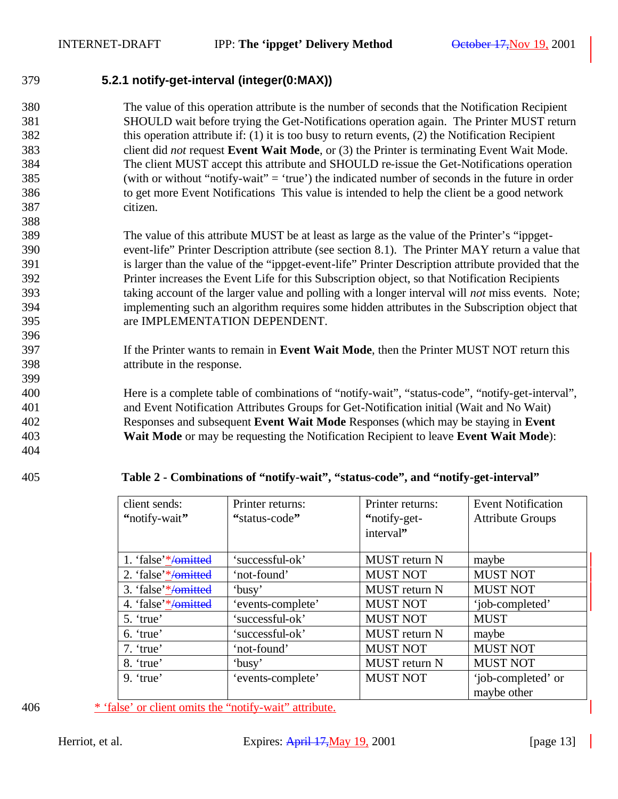## **5.2.1 notify-get-interval (integer(0:MAX))**

- The value of this operation attribute is the number of seconds that the Notification Recipient SHOULD wait before trying the Get-Notifications operation again. The Printer MUST return this operation attribute if: (1) it is too busy to return events, (2) the Notification Recipient client did *not* request **Event Wait Mode**, or (3) the Printer is terminating Event Wait Mode. The client MUST accept this attribute and SHOULD re-issue the Get-Notifications operation (with or without "notify-wait" = 'true') the indicated number of seconds in the future in order to get more Event Notifications This value is intended to help the client be a good network citizen.
- The value of this attribute MUST be at least as large as the value of the Printer's "ippget- event-life" Printer Description attribute (see section 8.1). The Printer MAY return a value that is larger than the value of the "ippget-event-life" Printer Description attribute provided that the Printer increases the Event Life for this Subscription object, so that Notification Recipients taking account of the larger value and polling with a longer interval will *not* miss events. Note; implementing such an algorithm requires some hidden attributes in the Subscription object that are IMPLEMENTATION DEPENDENT.
- If the Printer wants to remain in **Event Wait Mode**, then the Printer MUST NOT return this attribute in the response.
- Here is a complete table of combinations of "notify-wait", "status-code", "notify-get-interval", and Event Notification Attributes Groups for Get-Notification initial (Wait and No Wait) Responses and subsequent **Event Wait Mode** Responses (which may be staying in **Event Wait Mode** or may be requesting the Notification Recipient to leave **Event Wait Mode**):
- 

#### **Table 2 - Combinations of "notify-wait", "status-code", and "notify-get-interval"**

| client sends:<br>"notify-wait" | Printer returns:<br>"status-code" | Printer returns:<br>"notify-get-<br>interval" | <b>Event Notification</b><br><b>Attribute Groups</b> |
|--------------------------------|-----------------------------------|-----------------------------------------------|------------------------------------------------------|
| 1. 'false'*/omitted            | 'successful-ok'                   | MUST return N                                 | maybe                                                |
| 2. 'false'*/omitted            | 'not-found'                       | <b>MUST NOT</b>                               | <b>MUST NOT</b>                                      |
| 3. 'false'*/omitted            | 'busy'                            | MUST return N                                 | <b>MUST NOT</b>                                      |
| 4. 'false'*/omitted            | 'events-complete'                 | <b>MUST NOT</b>                               | 'job-completed'                                      |
| 5. 'true'                      | 'successful-ok'                   | <b>MUST NOT</b>                               | <b>MUST</b>                                          |
| 6. 'true'                      | 'successful-ok'                   | MUST return N                                 | maybe                                                |
| $7.$ 'true'                    | 'not-found'                       | <b>MUST NOT</b>                               | <b>MUST NOT</b>                                      |
| 8. 'true'                      | 'busy'                            | <b>MUST</b> return N                          | <b>MUST NOT</b>                                      |
| 9. 'true'                      | 'events-complete'                 | <b>MUST NOT</b>                               | 'job-completed' or<br>maybe other                    |

\* 'false' or client omits the "notify-wait" attribute.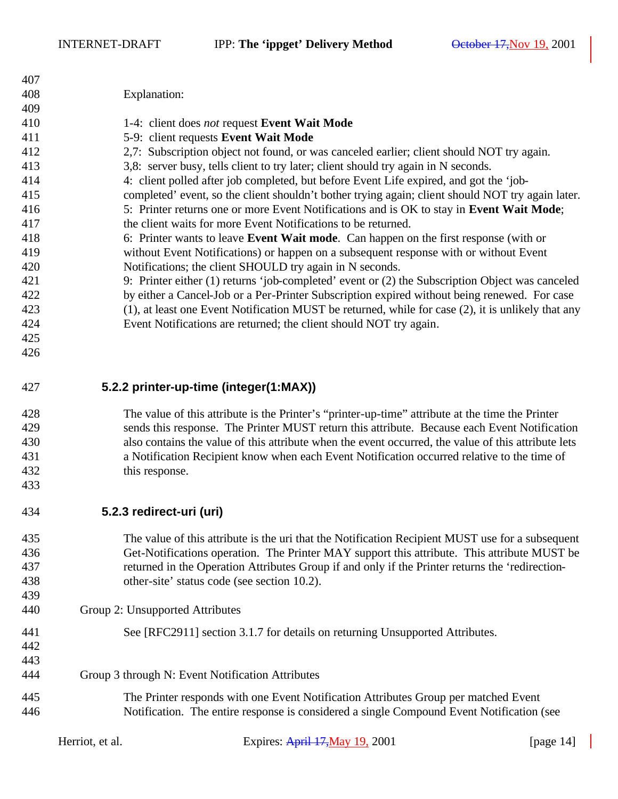| 407                                                                                              |                                                                                           |                                                                                                     |              |
|--------------------------------------------------------------------------------------------------|-------------------------------------------------------------------------------------------|-----------------------------------------------------------------------------------------------------|--------------|
| 408                                                                                              |                                                                                           | Explanation:                                                                                        |              |
| 409                                                                                              |                                                                                           |                                                                                                     |              |
| 410                                                                                              |                                                                                           | 1-4: client does not request Event Wait Mode                                                        |              |
| 411                                                                                              | 5-9: client requests Event Wait Mode                                                      |                                                                                                     |              |
| 412                                                                                              | 2,7: Subscription object not found, or was canceled earlier; client should NOT try again. |                                                                                                     |              |
| 413                                                                                              |                                                                                           | 3,8: server busy, tells client to try later; client should try again in N seconds.                  |              |
| 414                                                                                              |                                                                                           | 4: client polled after job completed, but before Event Life expired, and got the 'job-              |              |
|                                                                                                  |                                                                                           |                                                                                                     |              |
| 415                                                                                              |                                                                                           | completed' event, so the client shouldn't bother trying again; client should NOT try again later.   |              |
| 416                                                                                              |                                                                                           | 5: Printer returns one or more Event Notifications and is OK to stay in Event Wait Mode;            |              |
| 417                                                                                              |                                                                                           | the client waits for more Event Notifications to be returned.                                       |              |
| 418                                                                                              |                                                                                           | 6: Printer wants to leave <b>Event Wait mode</b> . Can happen on the first response (with or        |              |
| 419                                                                                              |                                                                                           | without Event Notifications) or happen on a subsequent response with or without Event               |              |
| 420                                                                                              |                                                                                           | Notifications; the client SHOULD try again in N seconds.                                            |              |
| 421                                                                                              |                                                                                           | 9: Printer either (1) returns 'job-completed' event or (2) the Subscription Object was canceled     |              |
| 422                                                                                              |                                                                                           | by either a Cancel-Job or a Per-Printer Subscription expired without being renewed. For case        |              |
| 423                                                                                              |                                                                                           | (1), at least one Event Notification MUST be returned, while for case (2), it is unlikely that any  |              |
| 424                                                                                              |                                                                                           | Event Notifications are returned; the client should NOT try again.                                  |              |
| 425                                                                                              |                                                                                           |                                                                                                     |              |
| 426                                                                                              |                                                                                           |                                                                                                     |              |
|                                                                                                  |                                                                                           |                                                                                                     |              |
| 427                                                                                              |                                                                                           | 5.2.2 printer-up-time (integer(1:MAX))                                                              |              |
|                                                                                                  |                                                                                           |                                                                                                     |              |
| 428                                                                                              |                                                                                           | The value of this attribute is the Printer's "printer-up-time" attribute at the time the Printer    |              |
| 429                                                                                              |                                                                                           | sends this response. The Printer MUST return this attribute. Because each Event Notification        |              |
| 430                                                                                              |                                                                                           | also contains the value of this attribute when the event occurred, the value of this attribute lets |              |
| 431                                                                                              |                                                                                           | a Notification Recipient know when each Event Notification occurred relative to the time of         |              |
| 432                                                                                              |                                                                                           | this response.                                                                                      |              |
| 433                                                                                              |                                                                                           |                                                                                                     |              |
| 434                                                                                              |                                                                                           | 5.2.3 redirect-uri (uri)                                                                            |              |
| 435                                                                                              |                                                                                           | The value of this attribute is the uri that the Notification Recipient MUST use for a subsequent    |              |
| 436                                                                                              |                                                                                           | Get-Notifications operation. The Printer MAY support this attribute. This attribute MUST be         |              |
|                                                                                                  |                                                                                           |                                                                                                     |              |
| 437                                                                                              |                                                                                           | returned in the Operation Attributes Group if and only if the Printer returns the 'redirection-     |              |
| 438                                                                                              |                                                                                           | other-site' status code (see section 10.2).                                                         |              |
| 439                                                                                              |                                                                                           |                                                                                                     |              |
| 440                                                                                              | Group 2: Unsupported Attributes                                                           |                                                                                                     |              |
| 441                                                                                              |                                                                                           | See [RFC2911] section 3.1.7 for details on returning Unsupported Attributes.                        |              |
| 442                                                                                              |                                                                                           |                                                                                                     |              |
| 443                                                                                              |                                                                                           |                                                                                                     |              |
| 444                                                                                              |                                                                                           | Group 3 through N: Event Notification Attributes                                                    |              |
|                                                                                                  |                                                                                           |                                                                                                     |              |
| 445                                                                                              |                                                                                           | The Printer responds with one Event Notification Attributes Group per matched Event                 |              |
| 446<br>Notification. The entire response is considered a single Compound Event Notification (see |                                                                                           |                                                                                                     |              |
|                                                                                                  | Herriot, et al.                                                                           | Expires: April 17, May 19, 2001                                                                     | [page $14$ ] |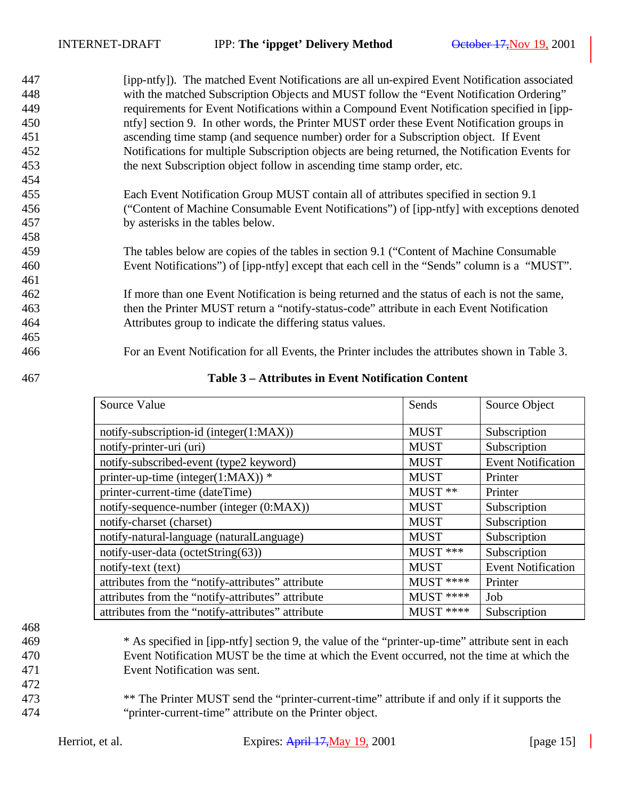| 447 | [ipp-ntfy]). The matched Event Notifications are all un-expired Event Notification associated   |
|-----|-------------------------------------------------------------------------------------------------|
| 448 | with the matched Subscription Objects and MUST follow the "Event Notification Ordering"         |
| 449 | requirements for Event Notifications within a Compound Event Notification specified in [ipp-    |
| 450 | ntfy] section 9. In other words, the Printer MUST order these Event Notification groups in      |
| 451 | ascending time stamp (and sequence number) order for a Subscription object. If Event            |
| 452 | Notifications for multiple Subscription objects are being returned, the Notification Events for |
| 453 | the next Subscription object follow in ascending time stamp order, etc.                         |
| 454 |                                                                                                 |
| 455 | Each Event Notification Group MUST contain all of attributes specified in section 9.1           |
| 456 | ("Content of Machine Consumable Event Notifications") of [ipp-ntfy] with exceptions denoted     |
| 457 | by asterisks in the tables below.                                                               |
| 458 |                                                                                                 |
| 459 | The tables below are copies of the tables in section 9.1 ("Content of Machine Consumable"       |
| 460 | Event Notifications") of [ipp-ntfy] except that each cell in the "Sends" column is a "MUST".    |
| 461 |                                                                                                 |
| 462 | If more than one Event Notification is being returned and the status of each is not the same,   |
| 463 | then the Printer MUST return a "notify-status-code" attribute in each Event Notification        |
| 464 | Attributes group to indicate the differing status values.                                       |
| 465 |                                                                                                 |
| 466 | For an Event Notification for all Events, the Printer includes the attributes shown in Table 3. |
|     |                                                                                                 |

| 467 | Table 3 – Attributes in Event Notification Content |
|-----|----------------------------------------------------|
|-----|----------------------------------------------------|

| Source Value                                      | Sends       | Source Object             |
|---------------------------------------------------|-------------|---------------------------|
| notify-subscription-id (integer(1:MAX))           | <b>MUST</b> | Subscription              |
| notify-printer-uri (uri)                          | <b>MUST</b> | Subscription              |
| notify-subscribed-event (type2 keyword)           | <b>MUST</b> | <b>Event Notification</b> |
| printer-up-time (integer(1:MAX)) $*$              | <b>MUST</b> | Printer                   |
| printer-current-time (dateTime)                   | $MUST$ **   | Printer                   |
| notify-sequence-number (integer (0:MAX))          | <b>MUST</b> | Subscription              |
| notify-charset (charset)                          | <b>MUST</b> | Subscription              |
| notify-natural-language (naturalLanguage)         | <b>MUST</b> | Subscription              |
| notify-user-data (octetString(63))                | MUST ***    | Subscription              |
| notify-text (text)                                | <b>MUST</b> | <b>Event Notification</b> |
| attributes from the "notify-attributes" attribute | MUST ****   | Printer                   |
| attributes from the "notify-attributes" attribute | MUST ****   | Job                       |
| attributes from the "notify-attributes" attribute | MUST ****   | Subscription              |

- \* As specified in [ipp-ntfy] section 9, the value of the "printer-up-time" attribute sent in each Event Notification MUST be the time at which the Event occurred, not the time at which the Event Notification was sent.
- \*\* The Printer MUST send the "printer-current-time" attribute if and only if it supports the "printer-current-time" attribute on the Printer object.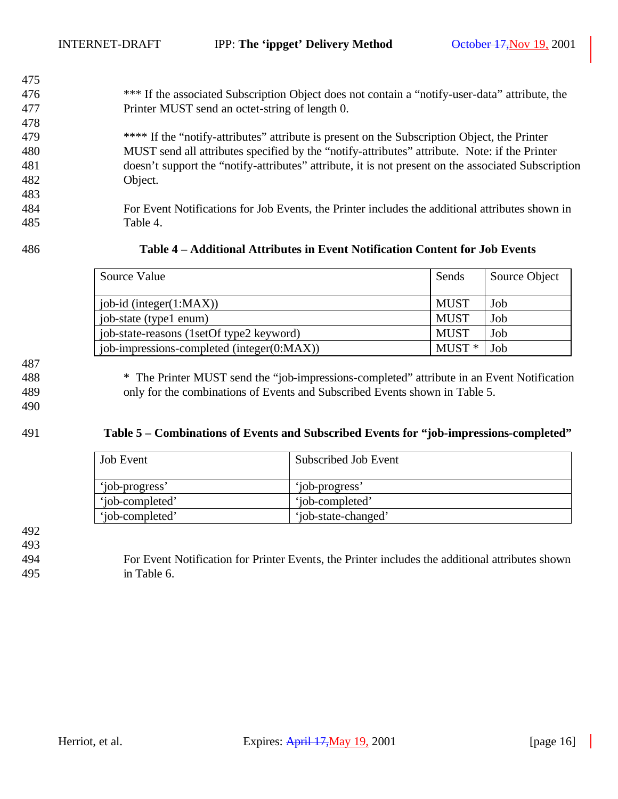- \*\*\* If the associated Subscription Object does not contain a "notify-user-data" attribute, the Printer MUST send an octet-string of length 0.
- \*\*\*\* If the "notify-attributes" attribute is present on the Subscription Object, the Printer MUST send all attributes specified by the "notify-attributes" attribute. Note: if the Printer doesn't support the "notify-attributes" attribute, it is not present on the associated Subscription Object.
- For Event Notifications for Job Events, the Printer includes the additional attributes shown in Table 4.

**Table 4 – Additional Attributes in Event Notification Content for Job Events** 

| Source Value                               | Sends       | Source Object |
|--------------------------------------------|-------------|---------------|
| job-id (integer(1:MAX))                    | <b>MUST</b> | Job           |
| job-state (type1 enum)                     | <b>MUST</b> | Job           |
| job-state-reasons (1setOf type2 keyword)   | <b>MUST</b> | Job           |
| job-impressions-completed (integer(0:MAX)) | $MUST*$     | Job           |

 \* The Printer MUST send the "job-impressions-completed" attribute in an Event Notification

only for the combinations of Events and Subscribed Events shown in Table 5.

#### **Table 5 – Combinations of Events and Subscribed Events for "job-impressions-completed"**

| <b>Job Event</b> | Subscribed Job Event |
|------------------|----------------------|
| 'iob-progress'   | 'job-progress'       |
| 'iob-completed'  | 'iob-completed'      |
| 'job-completed'  | 'job-state-changed'  |

 For Event Notification for Printer Events, the Printer includes the additional attributes shown in Table 6.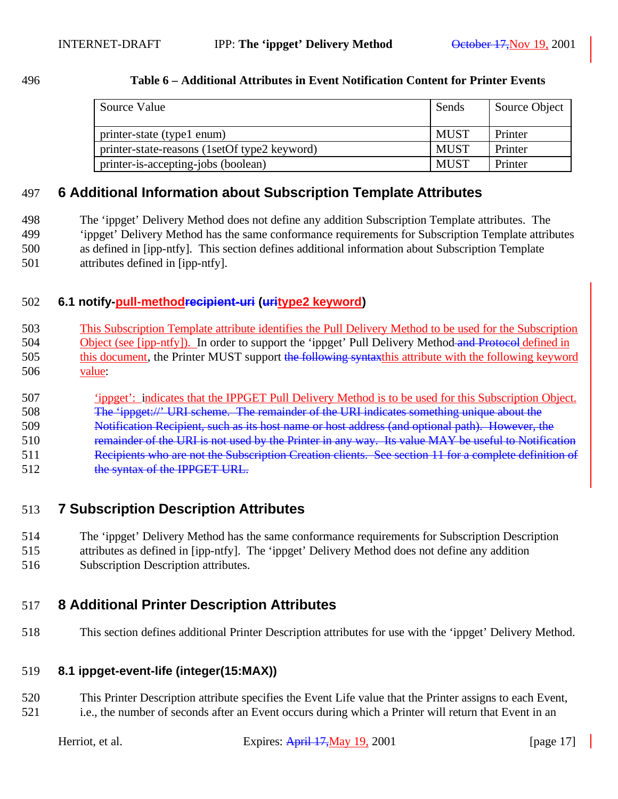#### **Table 6 – Additional Attributes in Event Notification Content for Printer Events**

| Source Value                                 | Sends       | Source Object |
|----------------------------------------------|-------------|---------------|
| printer-state (type1 enum)                   | MUST        | Printer       |
| printer-state-reasons (1setOf type2 keyword) | <b>MUST</b> | Printer       |
| printer-is-accepting-jobs (boolean)          | <b>MUST</b> | Printer       |

## **6 Additional Information about Subscription Template Attributes**

 The 'ippget' Delivery Method does not define any addition Subscription Template attributes. The 'ippget' Delivery Method has the same conformance requirements for Subscription Template attributes as defined in [ipp-ntfy]. This section defines additional information about Subscription Template attributes defined in [ipp-ntfy].

## **6.1 notify-pull-methodrecipient-uri (uritype2 keyword)**

 This Subscription Template attribute identifies the Pull Delivery Method to be used for the Subscription 504 Object (see [ipp-ntfy]). In order to support the 'ippget' Pull Delivery Method and Protocol defined in 505 this document, the Printer MUST support the following syntaxthis attribute with the following keyword value:

## 'ippget': indicates that the IPPGET Pull Delivery Method is to be used for this Subscription Object.

- The 'ippget://' URI scheme. The remainder of the URI indicates something unique about the
- Notification Recipient, such as its host name or host address (and optional path). However, the
- 510 remainder of the URI is not used by the Printer in any way. Its value MAY be useful to Notification
- 511 Recipients who are not the Subscription Creation clients. See section 11 for a complete definition of
- 512 the syntax of the IPPGET URL.

## **7 Subscription Description Attributes**

- The 'ippget' Delivery Method has the same conformance requirements for Subscription Description
- attributes as defined in [ipp-ntfy]. The 'ippget' Delivery Method does not define any addition Subscription Description attributes.

## **8 Additional Printer Description Attributes**

This section defines additional Printer Description attributes for use with the 'ippget' Delivery Method.

#### **8.1 ippget-event-life (integer(15:MAX))**

 This Printer Description attribute specifies the Event Life value that the Printer assigns to each Event, i.e., the number of seconds after an Event occurs during which a Printer will return that Event in an

| Herriot, et al. |  |  |  |
|-----------------|--|--|--|
|-----------------|--|--|--|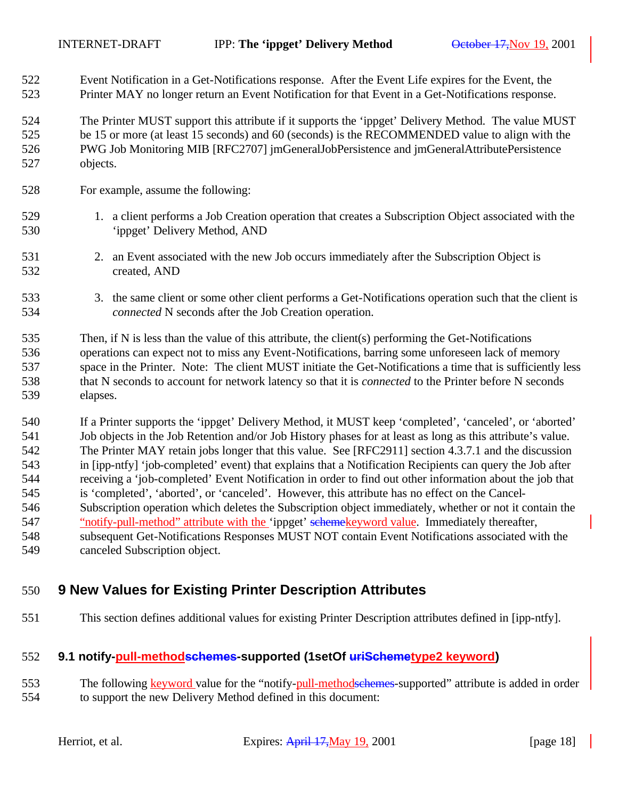Event Notification in a Get-Notifications response. After the Event Life expires for the Event, the Printer MAY no longer return an Event Notification for that Event in a Get-Notifications response.

 The Printer MUST support this attribute if it supports the 'ippget' Delivery Method. The value MUST 525 be 15 or more (at least 15 seconds) and 60 (seconds) is the RECOMMENDED value to align with the PWG Job Monitoring MIB [RFC2707] jmGeneralJobPersistence and jmGeneralAttributePersistence objects.

- For example, assume the following:
- 1. a client performs a Job Creation operation that creates a Subscription Object associated with the 'ippget' Delivery Method, AND
- 2. an Event associated with the new Job occurs immediately after the Subscription Object is created, AND
- 533 3. the same client or some other client performs a Get-Notifications operation such that the client is *connected* N seconds after the Job Creation operation.

 Then, if N is less than the value of this attribute, the client(s) performing the Get-Notifications operations can expect not to miss any Event-Notifications, barring some unforeseen lack of memory space in the Printer. Note: The client MUST initiate the Get-Notifications a time that is sufficiently less that N seconds to account for network latency so that it is *connected* to the Printer before N seconds elapses.

 If a Printer supports the 'ippget' Delivery Method, it MUST keep 'completed', 'canceled', or 'aborted' Job objects in the Job Retention and/or Job History phases for at least as long as this attribute's value. The Printer MAY retain jobs longer that this value. See [RFC2911] section 4.3.7.1 and the discussion in [ipp-ntfy] 'job-completed' event) that explains that a Notification Recipients can query the Job after receiving a 'job-completed' Event Notification in order to find out other information about the job that is 'completed', 'aborted', or 'canceled'. However, this attribute has no effect on the Cancel- Subscription operation which deletes the Subscription object immediately, whether or not it contain the 547 "notify-pull-method" attribute with the 'ippget' schemekeyword value. Immediately thereafter, subsequent Get-Notifications Responses MUST NOT contain Event Notifications associated with the canceled Subscription object.

# **9 New Values for Existing Printer Description Attributes**

This section defines additional values for existing Printer Description attributes defined in [ipp-ntfy].

#### **9.1 notify-pull-methodschemes-supported (1setOf uriSchemetype2 keyword)**

553 The following keyword value for the "notify-pull-methodschemes-supported" attribute is added in order to support the new Delivery Method defined in this document: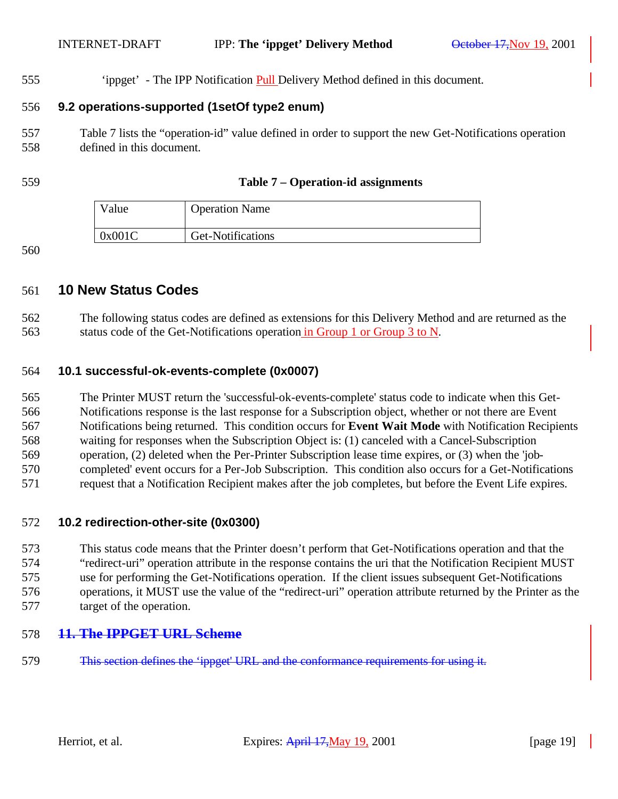'ippget' - The IPP Notification Pull Delivery Method defined in this document.

### **9.2 operations-supported (1setOf type2 enum)**

 Table 7 lists the "operation-id" value defined in order to support the new Get-Notifications operation defined in this document.

#### **Table 7 – Operation-id assignments**

| Value  | <b>Operation Name</b> |
|--------|-----------------------|
| 0x001C | Get-Notifications     |

## **10 New Status Codes**

 The following status codes are defined as extensions for this Delivery Method and are returned as the status code of the Get-Notifications operation in Group 1 or Group 3 to N.

#### **10.1 successful-ok-events-complete (0x0007)**

 The Printer MUST return the 'successful-ok-events-complete' status code to indicate when this Get- Notifications response is the last response for a Subscription object, whether or not there are Event Notifications being returned. This condition occurs for **Event Wait Mode** with Notification Recipients waiting for responses when the Subscription Object is: (1) canceled with a Cancel-Subscription operation, (2) deleted when the Per-Printer Subscription lease time expires, or (3) when the 'job- completed' event occurs for a Per-Job Subscription. This condition also occurs for a Get-Notifications request that a Notification Recipient makes after the job completes, but before the Event Life expires.

#### **10.2 redirection-other-site (0x0300)**

 This status code means that the Printer doesn't perform that Get-Notifications operation and that the "redirect-uri" operation attribute in the response contains the uri that the Notification Recipient MUST use for performing the Get-Notifications operation. If the client issues subsequent Get-Notifications operations, it MUST use the value of the "redirect-uri" operation attribute returned by the Printer as the target of the operation.

## **11. The IPPGET URL Scheme**

This section defines the 'ippget' URL and the conformance requirements for using it.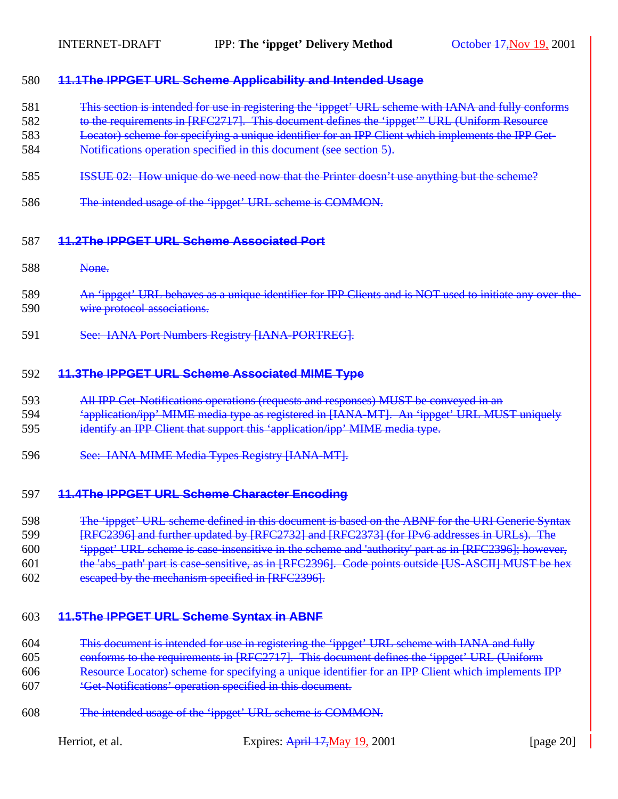#### **11.1The IPPGET URL Scheme Applicability and Intended Usage**

- This section is intended for use in registering the 'ippget' URL scheme with IANA and fully conforms
- to the requirements in [RFC2717]. This document defines the 'ippget'" URL (Uniform Resource
- Locator) scheme for specifying a unique identifier for an IPP Client which implements the IPP Get-
- Notifications operation specified in this document (see section 5).
- **ISSUE 02:** How unique do we need now that the Printer doesn't use anything but the scheme?
- The intended usage of the 'ippget' URL scheme is COMMON.

#### **11.2The IPPGET URL Scheme Associated Port**

- None.
- 589 An 'ippget' URL behaves as a unique identifier for IPP Clients and is NOT used to initiate any over-the-wire protocol associations.
- See: IANA Port Numbers Registry [IANA-PORTREG].

#### **11.3The IPPGET URL Scheme Associated MIME Type**

- All IPP Get-Notifications operations (requests and responses) MUST be conveyed in an
- 'application/ipp' MIME media type as registered in [IANA-MT]. An 'ippget' URL MUST uniquely identify an IPP Client that support this 'application/ipp' MIME media type.
- See: IANA MIME Media Types Registry [IANA-MT].

#### **11.4The IPPGET URL Scheme Character Encoding**

- 598 The 'ippget' URL scheme defined in this document is based on the ABNF for the URI Generic Syntax
- **[RFC2396] and further updated by [RFC2732] and [RFC2373] (for IPv6 addresses in URLs). The**
- 'ippget' URL scheme is case-insensitive in the scheme and 'authority' part as in [RFC2396]; however,
- the 'abs\_path' part is case-sensitive, as in [RFC2396]. Code points outside [US-ASCII] MUST be hex
- escaped by the mechanism specified in [RFC2396].

#### **11.5The IPPGET URL Scheme Syntax in ABNF**

- This document is intended for use in registering the 'ippget' URL scheme with IANA and fully
- conforms to the requirements in [RFC2717]. This document defines the 'ippget' URL (Uniform
- Resource Locator) scheme for specifying a unique identifier for an IPP Client which implements IPP
- 'Get-Notifications' operation specified in this document.
- The intended usage of the 'ippget' URL scheme is COMMON.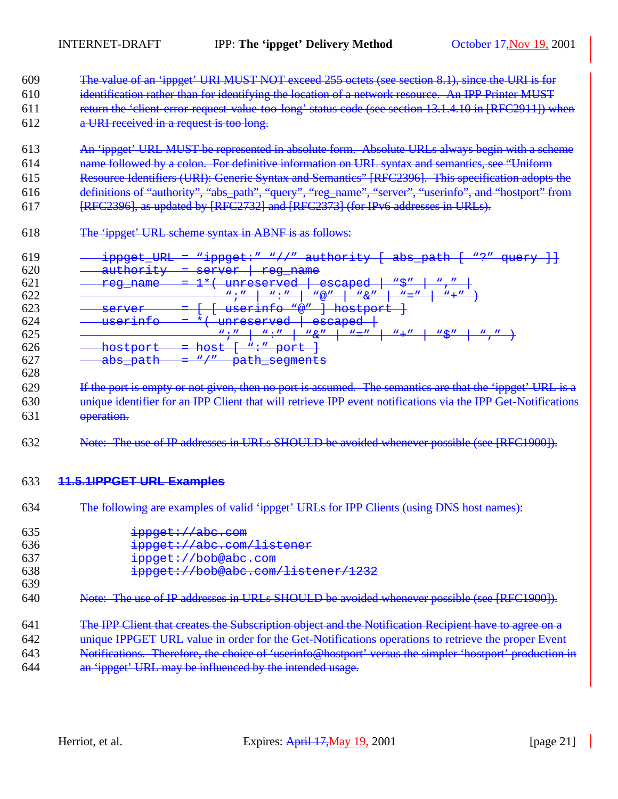The value of an 'ippget' URI MUST NOT exceed 255 octets (see section 8.1), since the URI is for 610 identification rather than for identifying the location of a network resource. An IPP Printer MUST return the 'client-error-request-value-too-long' status code (see section 13.1.4.10 in [RFC2911]) when a URI received in a request is too long.

- An 'ippget' URL MUST be represented in absolute form. Absolute URLs always begin with a scheme name followed by a colon. For definitive information on URL syntax and semantics, see "Uniform Resource Identifiers (URI): Generic Syntax and Semantics" [RFC2396]. This specification adopts the
- definitions of "authority", "abs\_path", "query", "reg\_name", "server", "userinfo", and "hostport" from
- [RFC2396], as updated by [RFC2732] and [RFC2373] (for IPv6 addresses in URLs).
- The 'ippget' URL scheme syntax in ABNF is as follows:

| 619        | <b>TTDT</b><br>$i$ pp $g \circ f$<br><u>IPPYCL UNI</u>                         | $M$ innac+ $M$ $N$ / / $U$<br>$\sim$ $+h$ $\sim$ $+ir$<br>$\mathbf{N} \cap \mathbf{N}$<br>aha nath<br>$C1 + C2 + r$<br><u>auchoricy</u><br>ave pach<br><u>ippger </u><br>yucr) |
|------------|--------------------------------------------------------------------------------|--------------------------------------------------------------------------------------------------------------------------------------------------------------------------------|
| 620        | $\gamma$ <sup>1</sup> $\gamma$ $\gamma$ $\gamma$ $\gamma$<br>$\alpha$ ucnoric) | CAYITAY<br>rog namo<br>$109$ name<br>5577                                                                                                                                      |
| 621        | rog namo<br>$109$ rance                                                        | $\mathbf{w}$ $\mathbf{w}$<br>$\sim$ $\sim$ $\sim$ $\sim$ $\sim$<br>112220022220<br>cocapca<br><u>UIIL CDUI VUU</u>                                                             |
| 622        |                                                                                | $W \cdot H$<br>$W \cdot H$<br>$W \otimes H$<br>$W \subset H$<br>$W \cup H$<br>$W = H$                                                                                          |
| 623        | CAYITAY<br>$\overline{DCLVCL}$                                                 | $W \otimes H$<br>hoatport<br>nearine<br>1100000010<br>$UUUU+1$                                                                                                                 |
| 624        | maxinf<br>U D C L L H L C                                                      | $\sim$ $\sim$ $\sim$ $\sim$ $\sim$<br>1122202022220<br>cocapeu<br><u>uni cəci vcu</u>                                                                                          |
| 625        |                                                                                | $W \cdot H$<br>$W = H$<br>11 C II<br>$W \cdot H$<br>$W \cap H$<br>$W + H$<br>$\alpha$                                                                                          |
| 626        | $h \cdot \sigma$ + $h \cdot \sigma$ + $\tau$<br><del>HOPUPULU</del>            | $W \cdot U$ nowt<br>$\cap \cap \cap +$<br>1100C<br>ᡉᡆᡄ                                                                                                                         |
| $62^\circ$ | $aha$ $nah$<br>app <u>-pacn</u>                                                | W/H<br>$n-h$<br>$a \sim m \sim r + a$<br>pacn pegmento                                                                                                                         |

629 If the port is empty or not given, then no port is assumed. The semantics are that the 'ippget' URL is a unique identifier for an IPP Client that will retrieve IPP event notifications via the IPP Get-Notifications operation.

Note: The use of IP addresses in URLs SHOULD be avoided whenever possible (see [RFC1900]).

#### **11.5.1IPPGET URL Examples**

The following are examples of valid 'ippget' URLs for IPP Clients (using DNS host names):

| -635       | ippget://abc.com                                                                                      |
|------------|-------------------------------------------------------------------------------------------------------|
| 636        | ippget://abc.com/listener                                                                             |
| 637        | ippget://bob@abc.com                                                                                  |
| 638<br>639 | ippget://bob@abc.com/listener/1232                                                                    |
| 640        | Note: The use of IP addresses in URLs SHOULD be avoided whenever possible (see [RFC1900]).            |
| 64         | The IPP Client that creates the Subscription object and the Notification Recipient have to agree on a |
| 642        | unique IPPGET URL value in order for the Get-Notifications operations to retrieve the proper Event    |

- Notifications. Therefore, the choice of 'userinfo@hostport' versus the simpler 'hostport' production in
- an 'ippget' URL may be influenced by the intended usage.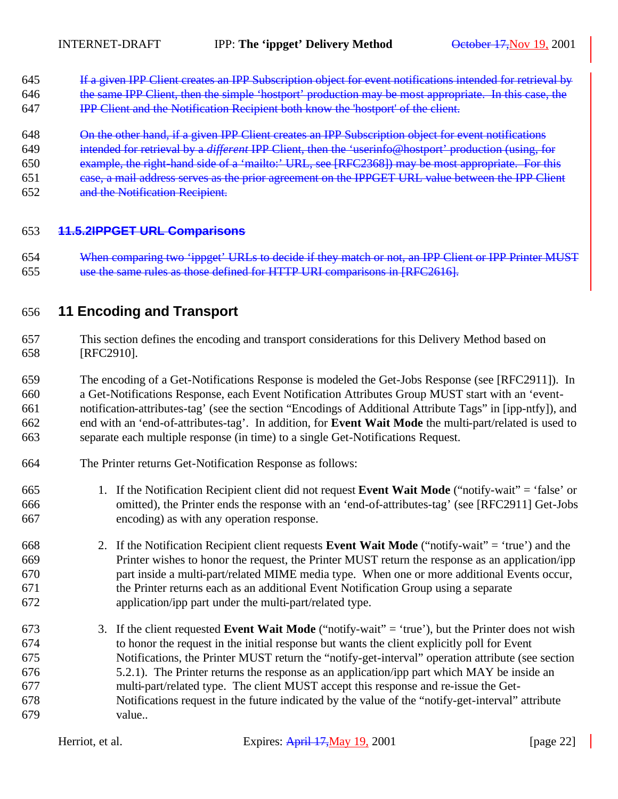- If a given IPP Client creates an IPP Subscription object for event notifications intended for retrieval by
- 646 the same IPP Client, then the simple 'hostport' production may be most appropriate. In this case, the
- IPP Client and the Notification Recipient both know the 'hostport' of the client.
- On the other hand, if a given IPP Client creates an IPP Subscription object for event notifications
- intended for retrieval by a *different* IPP Client, then the 'userinfo@hostport' production (using, for
- example, the right-hand side of a 'mailto:' URL, see [RFC2368]) may be most appropriate. For this
- case, a mail address serves as the prior agreement on the IPPGET URL value between the IPP Client
- and the Notification Recipient.

#### **11.5.2IPPGET URL Comparisons**

 When comparing two 'ippget' URLs to decide if they match or not, an IPP Client or IPP Printer MUST use the same rules as those defined for HTTP URI comparisons in [RFC2616].

## **11 Encoding and Transport**

- This section defines the encoding and transport considerations for this Delivery Method based on [RFC2910].
- The encoding of a Get-Notifications Response is modeled the Get-Jobs Response (see [RFC2911]). In a Get-Notifications Response, each Event Notification Attributes Group MUST start with an 'event- notification-attributes-tag' (see the section "Encodings of Additional Attribute Tags" in [ipp-ntfy]), and end with an 'end-of-attributes-tag'. In addition, for **Event Wait Mode** the multi-part/related is used to separate each multiple response (in time) to a single Get-Notifications Request.
- The Printer returns Get-Notification Response as follows:
- 1. If the Notification Recipient client did not request **Event Wait Mode** ("notify-wait" = 'false' or omitted), the Printer ends the response with an 'end-of-attributes-tag' (see [RFC2911] Get-Jobs encoding) as with any operation response.
- 2. If the Notification Recipient client requests **Event Wait Mode** ("notify-wait" = 'true') and the Printer wishes to honor the request, the Printer MUST return the response as an application/ipp part inside a multi-part/related MIME media type. When one or more additional Events occur, the Printer returns each as an additional Event Notification Group using a separate application/ipp part under the multi-part/related type.
- 3. If the client requested **Event Wait Mode** ("notify-wait" = 'true'), but the Printer does not wish to honor the request in the initial response but wants the client explicitly poll for Event Notifications, the Printer MUST return the "notify-get-interval" operation attribute (see section 5.2.1). The Printer returns the response as an application/ipp part which MAY be inside an multi-part/related type. The client MUST accept this response and re-issue the Get- Notifications request in the future indicated by the value of the "notify-get-interval" attribute value..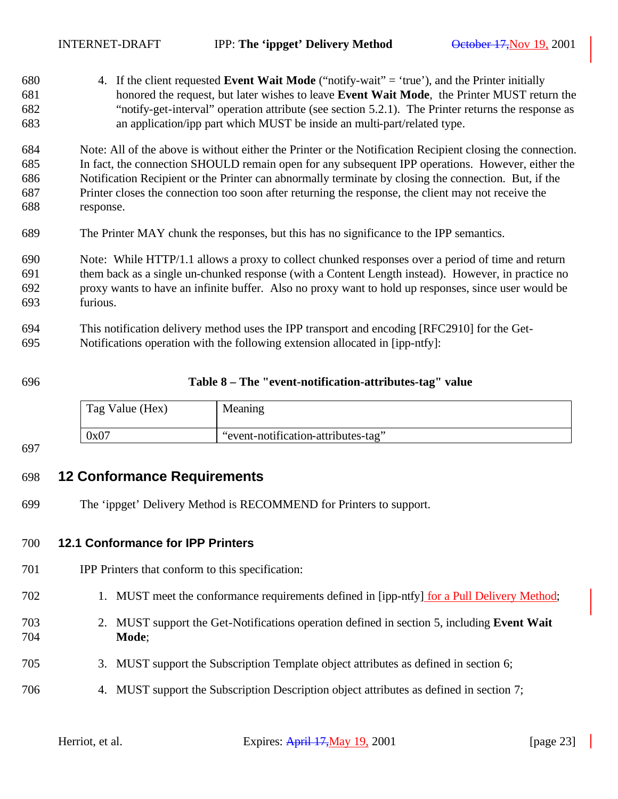| 680 | 4. If the client requested <b>Event Wait Mode</b> ("notify-wait" = 'true'), and the Printer initially      |
|-----|------------------------------------------------------------------------------------------------------------|
| 681 | honored the request, but later wishes to leave Event Wait Mode, the Printer MUST return the                |
| 682 | "notify-get-interval" operation attribute (see section 5.2.1). The Printer returns the response as         |
| 683 | an application/ipp part which MUST be inside an multi-part/related type.                                   |
| 684 | Note: All of the above is without either the Printer or the Notification Recipient closing the connection. |
| 685 | In fact, the connection SHOULD remain open for any subsequent IPP operations. However, either the          |
| 686 | Notification Recipient or the Printer can abnormally terminate by closing the connection. But, if the      |
| 687 | Printer closes the connection too soon after returning the response, the client may not receive the        |
| 688 | response.                                                                                                  |
| 689 | The Printer MAY chunk the responses, but this has no significance to the IPP semantics.                    |
| 690 | Note: While HTTP/1.1 allows a proxy to collect chunked responses over a period of time and return          |
| 691 | them back as a single un-chunked response (with a Content Length instead). However, in practice no         |
| 692 | proxy wants to have an infinite buffer. Also no proxy want to hold up responses, since user would be       |
| 693 | furious.                                                                                                   |
| 694 | This notification delivery method uses the IPP transport and encoding [RFC2910] for the Get-               |
| 695 | Notifications operation with the following extension allocated in [ipp-ntfy]:                              |
|     |                                                                                                            |

#### **Table 8 – The "event-notification-attributes-tag" value**

| Tag Value (Hex) | Meaning                             |
|-----------------|-------------------------------------|
| 0x07            | "event-notification-attributes-tag" |

## **12 Conformance Requirements**

The 'ippget' Delivery Method is RECOMMEND for Printers to support.

#### **12.1 Conformance for IPP Printers**

- IPP Printers that conform to this specification:
- 702 1. MUST meet the conformance requirements defined in [ipp-ntfy] for a Pull Delivery Method;
- 2. MUST support the Get-Notifications operation defined in section 5, including **Event Wait Mode**;
- 3. MUST support the Subscription Template object attributes as defined in section 6;
- 4. MUST support the Subscription Description object attributes as defined in section 7;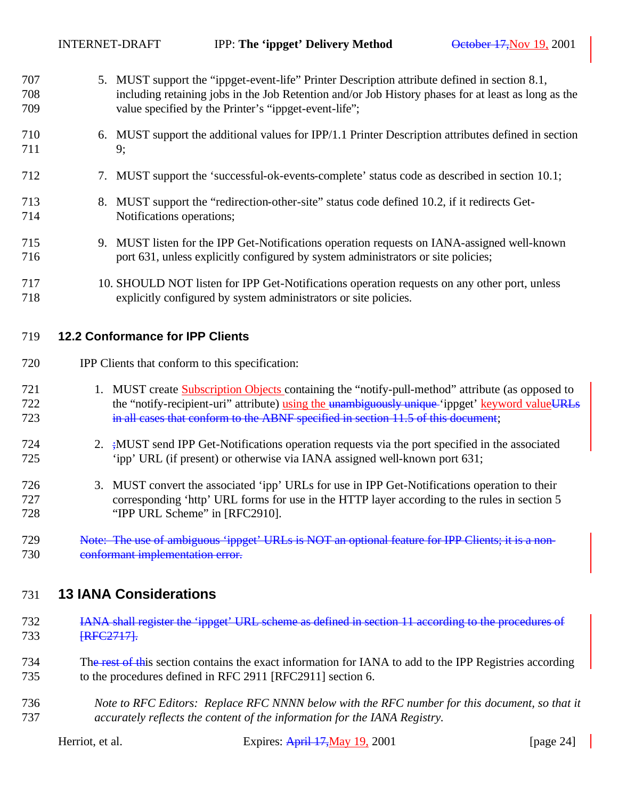| 707<br>708<br>709 | 5. MUST support the "ippget-event-life" Printer Description attribute defined in section 8.1,<br>including retaining jobs in the Job Retention and/or Job History phases for at least as long as the<br>value specified by the Printer's "ippget-event-life"; |
|-------------------|---------------------------------------------------------------------------------------------------------------------------------------------------------------------------------------------------------------------------------------------------------------|
| 710<br>711        | 6. MUST support the additional values for IPP/1.1 Printer Description attributes defined in section<br>9;                                                                                                                                                     |
| 712               | 7. MUST support the 'successful-ok-events-complete' status code as described in section 10.1;                                                                                                                                                                 |
| 713<br>714        | 8. MUST support the "redirection-other-site" status code defined 10.2, if it redirects Get-<br>Notifications operations;                                                                                                                                      |
| 715<br>716        | 9. MUST listen for the IPP Get-Notifications operation requests on IANA-assigned well-known<br>port 631, unless explicitly configured by system administrators or site policies;                                                                              |
| 717               | 10. CHOUR D MOT listen for DD $C_{\alpha t}$ Motifications approximation requests on any other next, unless                                                                                                                                                   |

 10. SHOULD NOT listen for IPP Get-Notifications operation requests on any other port, unless explicitly configured by system administrators or site policies.

## **12.2 Conformance for IPP Clients**

- IPP Clients that conform to this specification:
- 1. MUST create Subscription Objects containing the "notify-pull-method" attribute (as opposed to 722 the "notify-recipient-uri" attribute) using the unambiguously unique 'ippget' keyword valueURLs in all cases that conform to the ABNF specified in section 11.5 of this document;
- 2. ;MUST send IPP Get-Notifications operation requests via the port specified in the associated 'ipp' URL (if present) or otherwise via IANA assigned well-known port 631;
- 3. MUST convert the associated 'ipp' URLs for use in IPP Get-Notifications operation to their corresponding 'http' URL forms for use in the HTTP layer according to the rules in section 5 "IPP URL Scheme" in [RFC2910].
- 729 Note: The use of ambiguous 'ippget' URLs is NOT an optional feature for IPP Clients; it is a non-730 conformant implementation error.

# **13 IANA Considerations**

- IANA shall register the 'ippget' URL scheme as defined in section 11 according to the procedures of 733 [RFC2717].
- 734 The rest of this section contains the exact information for IANA to add to the IPP Registries according to the procedures defined in RFC 2911 [RFC2911] section 6.
- *Note to RFC Editors: Replace RFC NNNN below with the RFC number for this document, so that it accurately reflects the content of the information for the IANA Registry.*

| Herriot, et al. |  |  |
|-----------------|--|--|
|-----------------|--|--|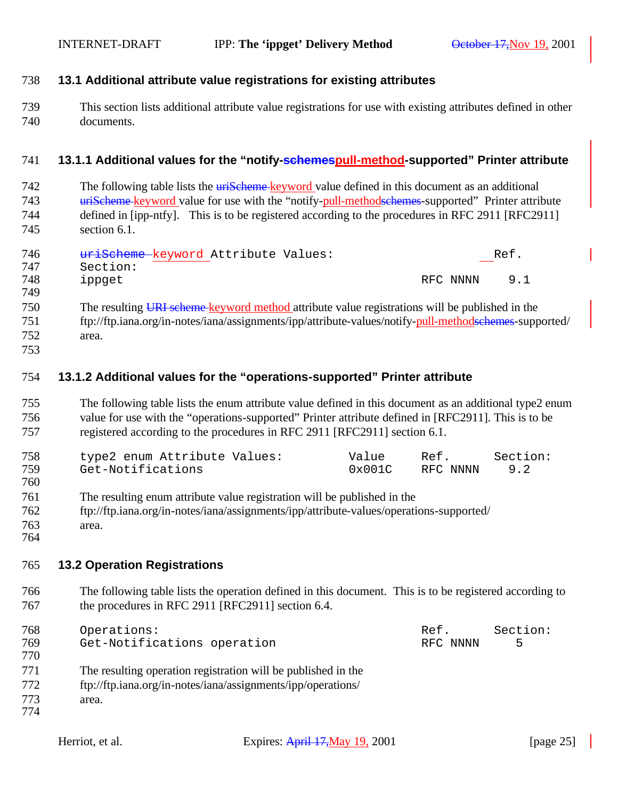#### **13.1 Additional attribute value registrations for existing attributes**

 This section lists additional attribute value registrations for use with existing attributes defined in other documents.

#### **13.1.1 Additional values for the "notify-schemespull-method-supported" Printer attribute**

742 The following table lists the urischeme keyword value defined in this document as an additional uriScheme keyword value for use with the "notify-pull-methodschemes-supported" Printer attribute defined in [ipp-ntfy]. This is to be registered according to the procedures in RFC 2911 [RFC2911] section 6.1.

| 746 | uriScheme keyword Attribute Values: | Ref.     |     |
|-----|-------------------------------------|----------|-----|
| 747 | Section:                            |          |     |
| 748 | ippget                              | RFC NNNN | 9.1 |
| 749 |                                     |          |     |

- The resulting URI scheme keyword method attribute value registrations will be published in the 751 ftp://ftp.iana.org/in-notes/iana/assignments/ipp/attribute-values/notify-pull-methodselemes-supported/ area.
- 

#### **13.1.2 Additional values for the "operations-supported" Printer attribute**

 The following table lists the enum attribute value defined in this document as an additional type2 enum value for use with the "operations-supported" Printer attribute defined in [RFC2911]. This is to be registered according to the procedures in RFC 2911 [RFC2911] section 6.1.

| 758 | type2 enum Attribute Values: | Value  | Ref.         | Section: |
|-----|------------------------------|--------|--------------|----------|
| 759 | Get-Notifications            | 0x001C | RFC NNNN 9.2 |          |
| 760 |                              |        |              |          |

- The resulting enum attribute value registration will be published in the
- ftp://ftp.iana.org/in-notes/iana/assignments/ipp/attribute-values/operations-supported/
- area.

#### **13.2 Operation Registrations**

 The following table lists the operation defined in this document. This is to be registered according to 767 the procedures in RFC 2911 [RFC2911] section 6.4.

| 768 | Operations:                                                   | Ref.     | Section: |
|-----|---------------------------------------------------------------|----------|----------|
| 769 | Get-Notifications operation                                   | RFC NNNN | 5        |
| 770 |                                                               |          |          |
| 771 | The resulting operation registration will be published in the |          |          |
| 772 | ftp://ftp.iana.org/in-notes/iana/assignments/ipp/operations/  |          |          |
| 773 | area.                                                         |          |          |
| 774 |                                                               |          |          |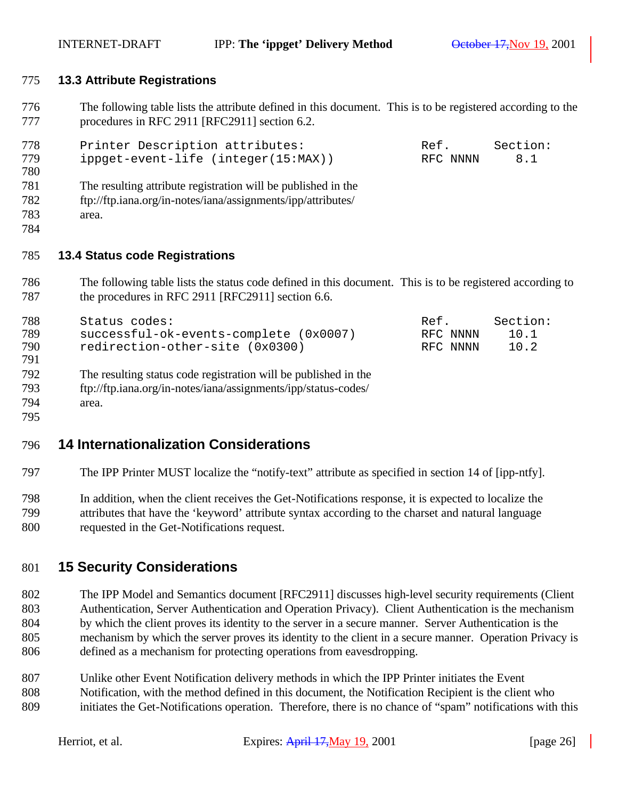#### **13.3 Attribute Registrations**

 The following table lists the attribute defined in this document. This is to be registered according to the procedures in RFC 2911 [RFC2911] section 6.2.

| 778<br>779<br>780 | Printer Description attributes:<br>ippget-event-life (integer(15:MAX)) | Ref.<br>RFC NNNN | Section:<br>8.1 |
|-------------------|------------------------------------------------------------------------|------------------|-----------------|
| 781               | The resulting attribute registration will be published in the          |                  |                 |
| 782               | ftp://ftp.iana.org/in-notes/iana/assignments/ipp/attributes/           |                  |                 |
| 783               | area.                                                                  |                  |                 |
| 784               |                                                                        |                  |                 |

#### **13.4 Status code Registrations**

 The following table lists the status code defined in this document. This is to be registered according to 787 the procedures in RFC 2911 [RFC2911] section 6.6.

| 788<br>789<br>790<br>791 | Status codes:<br>successful-ok-events-complete (0x0007)<br>redirection-other-site (0x0300) | Ref.<br>RFC NNNN<br>RFC NNNN | Section:<br>10.1<br>10.2 |
|--------------------------|--------------------------------------------------------------------------------------------|------------------------------|--------------------------|
| 792                      | The resulting status code registration will be published in the                            |                              |                          |
| 793                      | ftp://ftp.iana.org/in-notes/iana/assignments/ipp/status-codes/                             |                              |                          |
| 794                      | area.                                                                                      |                              |                          |
| 795                      |                                                                                            |                              |                          |

## **14 Internationalization Considerations**

The IPP Printer MUST localize the "notify-text" attribute as specified in section 14 of [ipp-ntfy].

 In addition, when the client receives the Get-Notifications response, it is expected to localize the attributes that have the 'keyword' attribute syntax according to the charset and natural language requested in the Get-Notifications request.

## **15 Security Considerations**

- The IPP Model and Semantics document [RFC2911] discusses high-level security requirements (Client Authentication, Server Authentication and Operation Privacy). Client Authentication is the mechanism by which the client proves its identity to the server in a secure manner. Server Authentication is the mechanism by which the server proves its identity to the client in a secure manner. Operation Privacy is defined as a mechanism for protecting operations from eavesdropping.
- Unlike other Event Notification delivery methods in which the IPP Printer initiates the Event Notification, with the method defined in this document, the Notification Recipient is the client who initiates the Get-Notifications operation. Therefore, there is no chance of "spam" notifications with this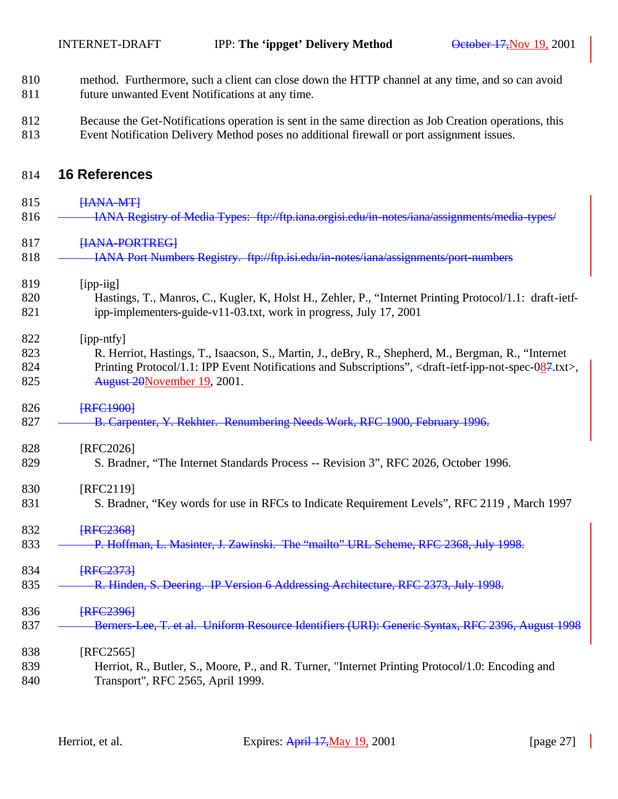- 810 method. Furthermore, such a client can close down the HTTP channel at any time, and so can avoid 811 future unwanted Event Notifications at any time.
- 812 Because the Get-Notifications operation is sent in the same direction as Job Creation operations, this 813 Event Notification Delivery Method poses no additional firewall or port assignment issues.

## 814 **16 References**

| 815        | HANA-MT                                                                                                                                                                        |
|------------|--------------------------------------------------------------------------------------------------------------------------------------------------------------------------------|
| 816        | IANA Registry of Media Types: ftp://ftp.iana.orgisi.edu/in-notes/iana/assignments/media-types/                                                                                 |
| 817        | HANA-PORTREGI                                                                                                                                                                  |
| 818        | IANA Port Numbers Registry. ftp://ftp.isi.edu/in-notes/iana/assignments/port-numbers                                                                                           |
| 819        | [ipp-iig]                                                                                                                                                                      |
| 820<br>821 | Hastings, T., Manros, C., Kugler, K., Holst H., Zehler, P., "Internet Printing Protocol/1.1: draft-ietf-<br>ipp-implementers-guide-v11-03.txt, work in progress, July 17, 2001 |
| 822        | [ipp-ntfy]                                                                                                                                                                     |
| 823        | R. Herriot, Hastings, T., Isaacson, S., Martin, J., deBry, R., Shepherd, M., Bergman, R., "Internet                                                                            |
| 824<br>825 | Printing Protocol/1.1: IPP Event Notifications and Subscriptions", <draft-ietf-ipp-not-spec-087.txt>,<br/>August 20November 19, 2001.</draft-ietf-ipp-not-spec-087.txt>        |
| 826        | <b>FRFC19001</b>                                                                                                                                                               |
| 827        | B. Carpenter, Y. Rekhter. Renumbering Needs Work, RFC 1900, February 1996.                                                                                                     |
| 828        | [RFC2026]                                                                                                                                                                      |
| 829        | S. Bradner, "The Internet Standards Process -- Revision 3", RFC 2026, October 1996.                                                                                            |
| 830        | [RFC2119]                                                                                                                                                                      |
| 831        | S. Bradner, "Key words for use in RFCs to Indicate Requirement Levels", RFC 2119, March 1997                                                                                   |
| 832        | <b>FRFC23681</b>                                                                                                                                                               |
| 833        | P. Hoffman, L. Masinter, J. Zawinski. The "mailto" URL Scheme, RFC 2368, July 1998.                                                                                            |
| 834        | <b>FRFC23731</b>                                                                                                                                                               |
| 835        | R. Hinden, S. Deering. IP Version 6 Addressing Architecture, RFC 2373, July 1998.                                                                                              |
| 836        | <b>FRFC23961</b>                                                                                                                                                               |
| 837        | Berners-Lee, T. et al. Uniform Resource Identifiers (URI): Generic Syntax, RFC 2396, August 1998                                                                               |
| 838        | $[RFC2565]$                                                                                                                                                                    |
| 839        | Herriot, R., Butler, S., Moore, P., and R. Turner, "Internet Printing Protocol/1.0: Encoding and                                                                               |
| 840        | Transport", RFC 2565, April 1999.                                                                                                                                              |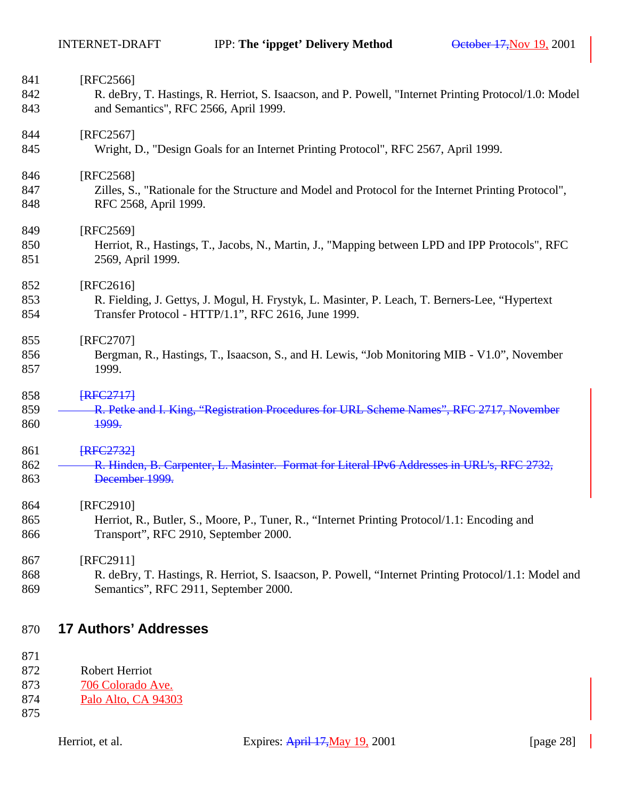| 841        | [RFC2566]                                                                                                                     |
|------------|-------------------------------------------------------------------------------------------------------------------------------|
| 842        | R. deBry, T. Hastings, R. Herriot, S. Isaacson, and P. Powell, "Internet Printing Protocol/1.0: Model                         |
| 843        | and Semantics", RFC 2566, April 1999.                                                                                         |
| 844        | [RFC2567]                                                                                                                     |
| 845        | Wright, D., "Design Goals for an Internet Printing Protocol", RFC 2567, April 1999.                                           |
| 846        | [RFC2568]                                                                                                                     |
| 847<br>848 | Zilles, S., "Rationale for the Structure and Model and Protocol for the Internet Printing Protocol",<br>RFC 2568, April 1999. |
| 849        | [RFC2569]                                                                                                                     |
| 850<br>851 | Herriot, R., Hastings, T., Jacobs, N., Martin, J., "Mapping between LPD and IPP Protocols", RFC<br>2569, April 1999.          |
| 852        | [RFC2616]                                                                                                                     |
| 853        | R. Fielding, J. Gettys, J. Mogul, H. Frystyk, L. Masinter, P. Leach, T. Berners-Lee, "Hypertext                               |
| 854        | Transfer Protocol - HTTP/1.1", RFC 2616, June 1999.                                                                           |
| 855        | [RFC2707]                                                                                                                     |
| 856        | Bergman, R., Hastings, T., Isaacson, S., and H. Lewis, "Job Monitoring MIB - V1.0", November                                  |
| 857        | 1999.                                                                                                                         |
| 858        | <b>FRFC27171</b>                                                                                                              |
| 859        | R. Petke and I. King, "Registration Procedures for URL Scheme Names", RFC 2717, November                                      |
| 860        | <del>1999.</del>                                                                                                              |
| 861        | <b>FRFC27321</b>                                                                                                              |
| 862        | R. Hinden, B. Carpenter, L. Masinter. Format for Literal IPv6 Addresses in URL's, RFC 2732,                                   |
| 863        | December 1999.                                                                                                                |
| 864        | [RFC2910]                                                                                                                     |
| 865        | Herriot, R., Butler, S., Moore, P., Tuner, R., "Internet Printing Protocol/1.1: Encoding and                                  |
| 866        | Transport", RFC 2910, September 2000.                                                                                         |
| 867        | $[RFC2911]$                                                                                                                   |
| 868        | R. deBry, T. Hastings, R. Herriot, S. Isaacson, P. Powell, "Internet Printing Protocol/1.1: Model and                         |
| 869        | Semantics", RFC 2911, September 2000.                                                                                         |

# **17 Authors' Addresses**

- 872 Robert Herriot<br>873 706 Colorado A 706 Colorado Ave.
- Palo Alto, CA 94303
-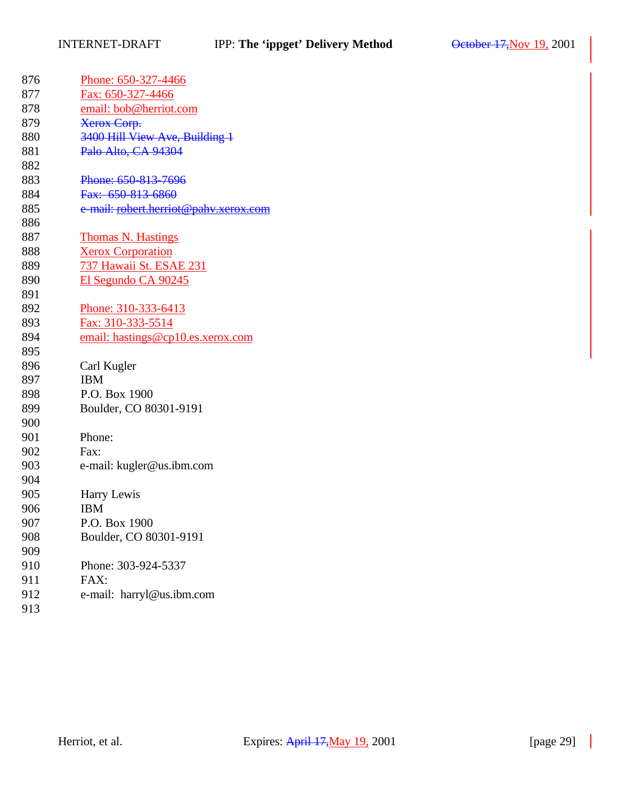| 876 | Phone: 650-327-4466                   |
|-----|---------------------------------------|
| 877 | Fax: 650-327-4466                     |
| 878 | email: bob@herriot.com                |
| 879 | <b>Xerox Corp.</b>                    |
| 880 | 3400 Hill View Ave, Building 1        |
| 881 | Palo Alto, CA 94304                   |
| 882 |                                       |
| 883 | Phone: 650-813-7696                   |
| 884 | Fax: 650-813-6860                     |
| 885 | e-mail: robert.herriot@pahv.xerox.com |
| 886 |                                       |
| 887 | <b>Thomas N. Hastings</b>             |
| 888 | <b>Xerox Corporation</b>              |
| 889 | 737 Hawaii St. ESAE 231               |
| 890 | El Segundo CA 90245                   |
| 891 |                                       |
| 892 | Phone: 310-333-6413                   |
| 893 | Fax: 310-333-5514                     |
| 894 | email: hastings@cp10.es.xerox.com     |
| 895 |                                       |
| 896 | Carl Kugler                           |
| 897 | <b>IBM</b>                            |
| 898 | P.O. Box 1900                         |
| 899 | Boulder, CO 80301-9191                |
| 900 |                                       |
| 901 | Phone:                                |
| 902 | Fax:                                  |
| 903 | e-mail: kugler@us.ibm.com             |
| 904 |                                       |
| 905 | Harry Lewis                           |
| 906 | <b>IBM</b>                            |
| 907 | P.O. Box 1900                         |
| 908 | Boulder, CO 80301-9191                |
| 909 |                                       |
| 910 | Phone: 303-924-5337                   |
| 911 | FAX:                                  |
| 912 | e-mail: harryl@us.ibm.com             |
| 913 |                                       |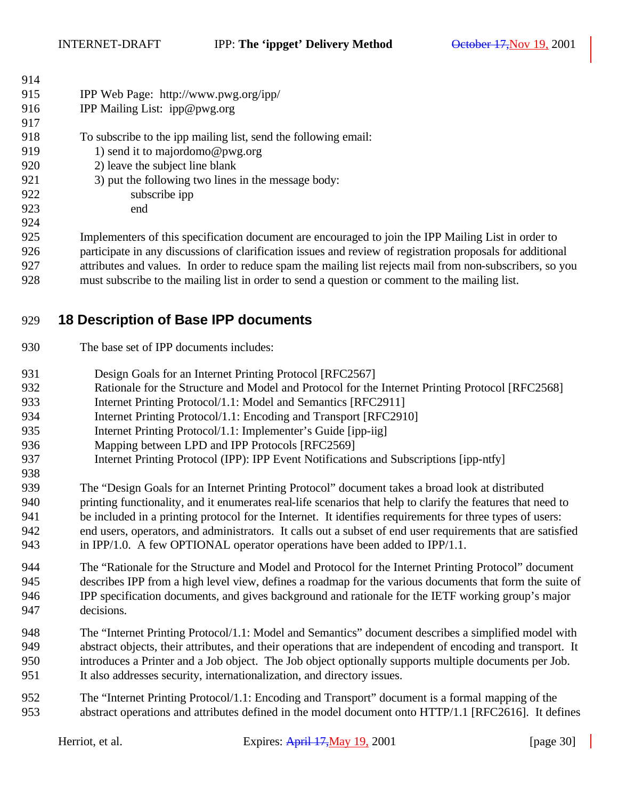| 914 |                                                                                                          |
|-----|----------------------------------------------------------------------------------------------------------|
| 915 | IPP Web Page: http://www.pwg.org/ipp/                                                                    |
| 916 | IPP Mailing List: ipp@pwg.org                                                                            |
| 917 |                                                                                                          |
| 918 | To subscribe to the ipp mailing list, send the following email:                                          |
| 919 | 1) send it to majordomo@pwg.org                                                                          |
| 920 | 2) leave the subject line blank                                                                          |
| 921 | 3) put the following two lines in the message body:                                                      |
| 922 | subscribe ipp                                                                                            |
| 923 | end                                                                                                      |
| 924 |                                                                                                          |
| 925 | Implementers of this specification document are encouraged to join the IPP Mailing List in order to      |
| 926 | participate in any discussions of clarification issues and review of registration proposals for addition |

proposals for additional attributes and values. In order to reduce spam the mailing list rejects mail from non-subscribers, so you must subscribe to the mailing list in order to send a question or comment to the mailing list.

# **18 Description of Base IPP documents**

- The base set of IPP documents includes:
- 931 Design Goals for an Internet Printing Protocol [RFC2567]
- Rationale for the Structure and Model and Protocol for the Internet Printing Protocol [RFC2568]
- Internet Printing Protocol/1.1: Model and Semantics [RFC2911]
- Internet Printing Protocol/1.1: Encoding and Transport [RFC2910]
- 935 Internet Printing Protocol/1.1: Implementer's Guide [ipp-iig]
- Mapping between LPD and IPP Protocols [RFC2569]
- Internet Printing Protocol (IPP): IPP Event Notifications and Subscriptions [ipp-ntfy]
- The "Design Goals for an Internet Printing Protocol" document takes a broad look at distributed printing functionality, and it enumerates real-life scenarios that help to clarify the features that need to be included in a printing protocol for the Internet. It identifies requirements for three types of users: end users, operators, and administrators. It calls out a subset of end user requirements that are satisfied in IPP/1.0. A few OPTIONAL operator operations have been added to IPP/1.1.
- The "Rationale for the Structure and Model and Protocol for the Internet Printing Protocol" document describes IPP from a high level view, defines a roadmap for the various documents that form the suite of IPP specification documents, and gives background and rationale for the IETF working group's major decisions.
- The "Internet Printing Protocol/1.1: Model and Semantics" document describes a simplified model with abstract objects, their attributes, and their operations that are independent of encoding and transport. It introduces a Printer and a Job object. The Job object optionally supports multiple documents per Job. It also addresses security, internationalization, and directory issues.
- The "Internet Printing Protocol/1.1: Encoding and Transport" document is a formal mapping of the abstract operations and attributes defined in the model document onto HTTP/1.1 [RFC2616]. It defines